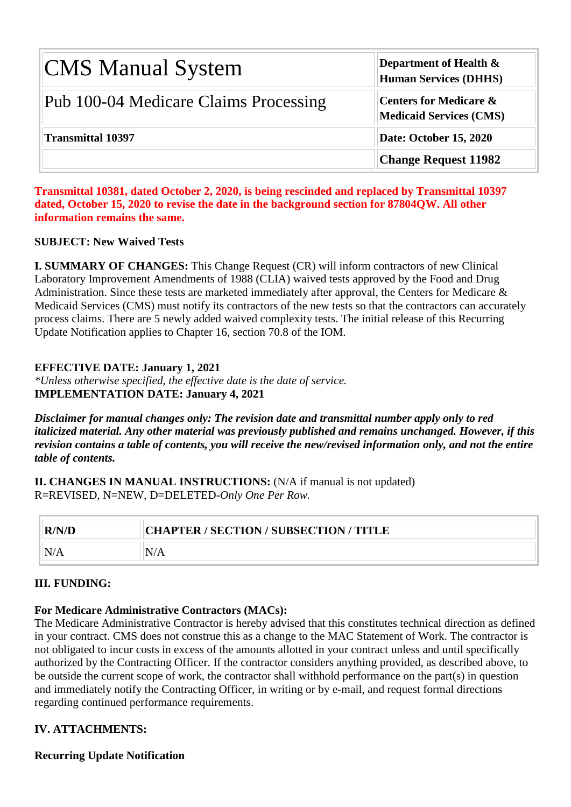| <b>CMS Manual System</b>              | <b>Department of Health <math>\&amp;</math></b><br><b>Human Services (DHHS)</b> |
|---------------------------------------|---------------------------------------------------------------------------------|
| Pub 100-04 Medicare Claims Processing | <b>Centers for Medicare &amp;</b><br><b>Medicaid Services (CMS)</b>             |
| <b>Transmittal 10397</b>              | Date: October 15, 2020                                                          |
|                                       | <b>Change Request 11982</b>                                                     |

**Transmittal 10381, dated October 2, 2020, is being rescinded and replaced by Transmittal 10397 dated, October 15, 2020 to revise the date in the background section for 87804QW. All other information remains the same.**

#### **SUBJECT: New Waived Tests**

**I. SUMMARY OF CHANGES:** This Change Request (CR) will inform contractors of new Clinical Laboratory Improvement Amendments of 1988 (CLIA) waived tests approved by the Food and Drug Administration. Since these tests are marketed immediately after approval, the Centers for Medicare & Medicaid Services (CMS) must notify its contractors of the new tests so that the contractors can accurately process claims. There are 5 newly added waived complexity tests. The initial release of this Recurring Update Notification applies to Chapter 16, section 70.8 of the IOM.

#### **EFFECTIVE DATE: January 1, 2021**

*\*Unless otherwise specified, the effective date is the date of service.* **IMPLEMENTATION DATE: January 4, 2021**

*Disclaimer for manual changes only: The revision date and transmittal number apply only to red italicized material. Any other material was previously published and remains unchanged. However, if this revision contains a table of contents, you will receive the new/revised information only, and not the entire table of contents.*

**II. CHANGES IN MANUAL INSTRUCTIONS:** (N/A if manual is not updated) R=REVISED, N=NEW, D=DELETED-*Only One Per Row.*

| R/N/D | CHAPTER / SECTION / SUBSECTION / TITLE |
|-------|----------------------------------------|
| N/A   | N/A                                    |

#### **III. FUNDING:**

#### **For Medicare Administrative Contractors (MACs):**

The Medicare Administrative Contractor is hereby advised that this constitutes technical direction as defined in your contract. CMS does not construe this as a change to the MAC Statement of Work. The contractor is not obligated to incur costs in excess of the amounts allotted in your contract unless and until specifically authorized by the Contracting Officer. If the contractor considers anything provided, as described above, to be outside the current scope of work, the contractor shall withhold performance on the part(s) in question and immediately notify the Contracting Officer, in writing or by e-mail, and request formal directions regarding continued performance requirements.

#### **IV. ATTACHMENTS:**

**Recurring Update Notification**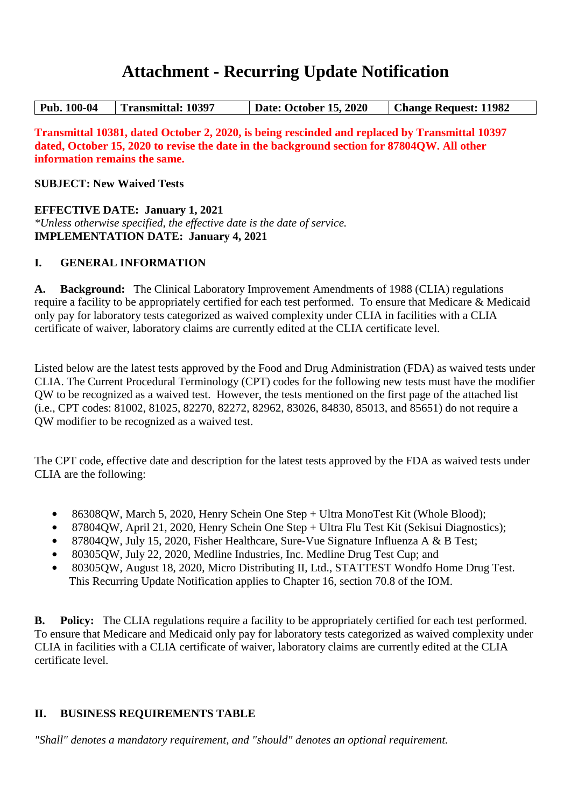## **Attachment - Recurring Update Notification**

| <b>Transmittal: 10397</b><br>  Pub. 100-04 | <b>Date: October 15, 2020</b> | <b>Change Request: 11982</b> |
|--------------------------------------------|-------------------------------|------------------------------|
|--------------------------------------------|-------------------------------|------------------------------|

**Transmittal 10381, dated October 2, 2020, is being rescinded and replaced by Transmittal 10397 dated, October 15, 2020 to revise the date in the background section for 87804QW. All other information remains the same.**

**SUBJECT: New Waived Tests**

#### **EFFECTIVE DATE: January 1, 2021**

*\*Unless otherwise specified, the effective date is the date of service.* **IMPLEMENTATION DATE: January 4, 2021**

#### **I. GENERAL INFORMATION**

**A. Background:** The Clinical Laboratory Improvement Amendments of 1988 (CLIA) regulations require a facility to be appropriately certified for each test performed. To ensure that Medicare & Medicaid only pay for laboratory tests categorized as waived complexity under CLIA in facilities with a CLIA certificate of waiver, laboratory claims are currently edited at the CLIA certificate level.

Listed below are the latest tests approved by the Food and Drug Administration (FDA) as waived tests under CLIA. The Current Procedural Terminology (CPT) codes for the following new tests must have the modifier QW to be recognized as a waived test. However, the tests mentioned on the first page of the attached list (i.e., CPT codes: 81002, 81025, 82270, 82272, 82962, 83026, 84830, 85013, and 85651) do not require a QW modifier to be recognized as a waived test.

The CPT code, effective date and description for the latest tests approved by the FDA as waived tests under CLIA are the following:

- 86308QW, March 5, 2020, Henry Schein One Step + Ultra MonoTest Kit (Whole Blood);
- **•** 87804QW, April 21, 2020, Henry Schein One Step + Ultra Flu Test Kit (Sekisui Diagnostics);
- **•** 87804QW, July 15, 2020, Fisher Healthcare, Sure-Vue Signature Influenza A & B Test;
- **•** 80305QW, July 22, 2020, Medline Industries, Inc. Medline Drug Test Cup; and
- **•** 80305QW, August 18, 2020, Micro Distributing II, Ltd., STATTEST Wondfo Home Drug Test. This Recurring Update Notification applies to Chapter 16, section 70.8 of the IOM.

**B. Policy:** The CLIA regulations require a facility to be appropriately certified for each test performed. To ensure that Medicare and Medicaid only pay for laboratory tests categorized as waived complexity under CLIA in facilities with a CLIA certificate of waiver, laboratory claims are currently edited at the CLIA certificate level.

## **II. BUSINESS REQUIREMENTS TABLE**

*"Shall" denotes a mandatory requirement, and "should" denotes an optional requirement.*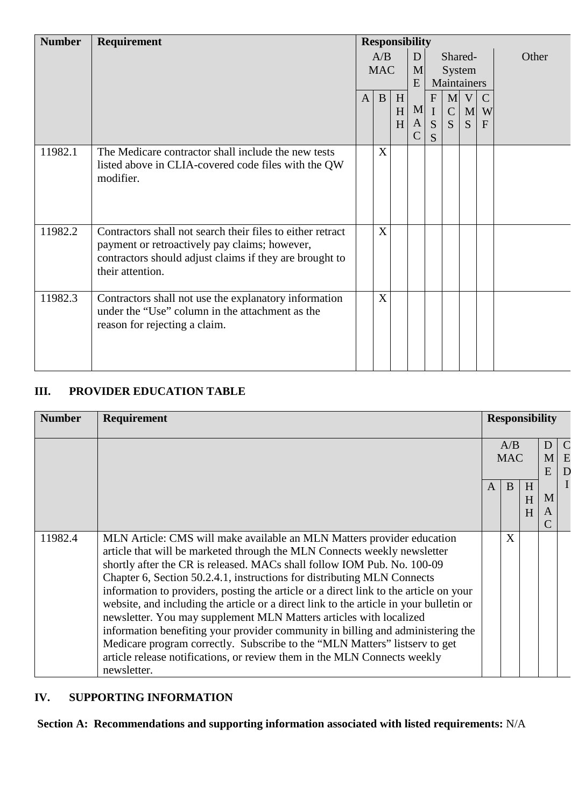| <b>Number</b> | Requirement                                                                                                                                                                                | <b>Responsibility</b> |                |   |                    |                   |               |   |   |       |
|---------------|--------------------------------------------------------------------------------------------------------------------------------------------------------------------------------------------|-----------------------|----------------|---|--------------------|-------------------|---------------|---|---|-------|
|               |                                                                                                                                                                                            | A/B                   |                |   | D                  |                   | Shared-       |   |   | Other |
|               |                                                                                                                                                                                            |                       | <b>MAC</b>     |   | M                  |                   | System        |   |   |       |
|               |                                                                                                                                                                                            |                       |                |   | E                  | Maintainers       |               |   |   |       |
|               |                                                                                                                                                                                            | $\mathbf{A}$          | $\mathbf{B}$   | H |                    | $\mathbf{F}$      | M             | V |   |       |
|               |                                                                                                                                                                                            |                       |                | H | M                  | $\mathbf I$       | $\mathcal{C}$ | M | W |       |
|               |                                                                                                                                                                                            |                       |                | H | A <br>$\mathsf{C}$ | S<br><sub>S</sub> | <sub>S</sub>  | S | F |       |
| 11982.1       | The Medicare contractor shall include the new tests<br>listed above in CLIA-covered code files with the QW<br>modifier.                                                                    |                       | X              |   |                    |                   |               |   |   |       |
| 11982.2       | Contractors shall not search their files to either retract<br>payment or retroactively pay claims; however,<br>contractors should adjust claims if they are brought to<br>their attention. |                       | $\overline{X}$ |   |                    |                   |               |   |   |       |
| 11982.3       | Contractors shall not use the explanatory information<br>under the "Use" column in the attachment as the<br>reason for rejecting a claim.                                                  |                       | X              |   |                    |                   |               |   |   |       |

#### **III. PROVIDER EDUCATION TABLE**

| <b>Number</b> | Requirement                                                                                                                                                                                                                                                                                                                                                                                                                                                                                                                                                                                                                                                                                                                                                                                                                   |   | <b>Responsibility</b> |             |              |                         |
|---------------|-------------------------------------------------------------------------------------------------------------------------------------------------------------------------------------------------------------------------------------------------------------------------------------------------------------------------------------------------------------------------------------------------------------------------------------------------------------------------------------------------------------------------------------------------------------------------------------------------------------------------------------------------------------------------------------------------------------------------------------------------------------------------------------------------------------------------------|---|-----------------------|-------------|--------------|-------------------------|
|               |                                                                                                                                                                                                                                                                                                                                                                                                                                                                                                                                                                                                                                                                                                                                                                                                                               |   | A/B<br><b>MAC</b>     |             | D<br>M.<br>E | $\mathcal{C}$<br>E<br>D |
|               |                                                                                                                                                                                                                                                                                                                                                                                                                                                                                                                                                                                                                                                                                                                                                                                                                               | A | B                     | H<br>H<br>H | M<br>A       | $\bf{I}$                |
| 11982.4       | MLN Article: CMS will make available an MLN Matters provider education<br>article that will be marketed through the MLN Connects weekly newsletter<br>shortly after the CR is released. MACs shall follow IOM Pub. No. 100-09<br>Chapter 6, Section 50.2.4.1, instructions for distributing MLN Connects<br>information to providers, posting the article or a direct link to the article on your<br>website, and including the article or a direct link to the article in your bulletin or<br>newsletter. You may supplement MLN Matters articles with localized<br>information benefiting your provider community in billing and administering the<br>Medicare program correctly. Subscribe to the "MLN Matters" listserv to get<br>article release notifications, or review them in the MLN Connects weekly<br>newsletter. |   | X                     |             |              |                         |

## **IV. SUPPORTING INFORMATION**

**Section A: Recommendations and supporting information associated with listed requirements:** N/A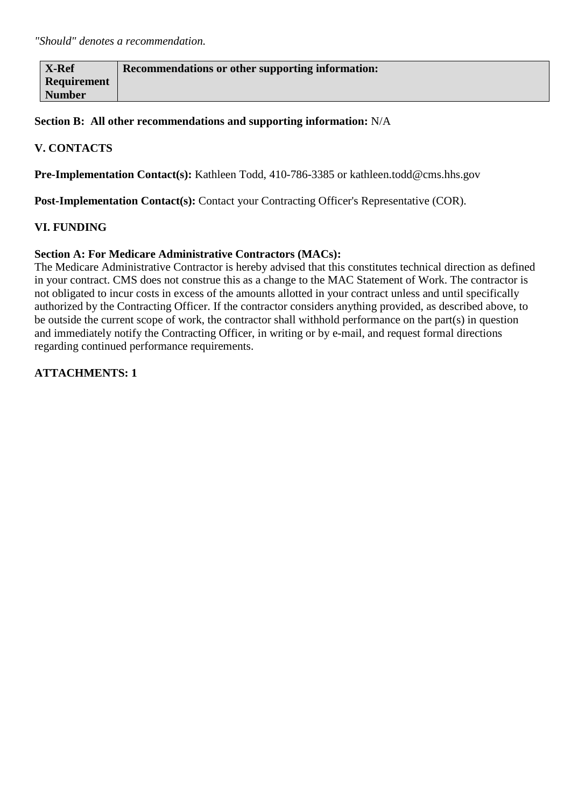| <b>X-Ref</b>  | Recommendations or other supporting information: |
|---------------|--------------------------------------------------|
| Requirement   |                                                  |
| <b>Number</b> |                                                  |

**Section B: All other recommendations and supporting information:** N/A

#### **V. CONTACTS**

**Pre-Implementation Contact(s):** Kathleen Todd, 410-786-3385 or kathleen.todd@cms.hhs.gov

Post-Implementation Contact(s): Contact your Contracting Officer's Representative (COR).

#### **VI. FUNDING**

#### **Section A: For Medicare Administrative Contractors (MACs):**

The Medicare Administrative Contractor is hereby advised that this constitutes technical direction as defined in your contract. CMS does not construe this as a change to the MAC Statement of Work. The contractor is not obligated to incur costs in excess of the amounts allotted in your contract unless and until specifically authorized by the Contracting Officer. If the contractor considers anything provided, as described above, to be outside the current scope of work, the contractor shall withhold performance on the part(s) in question and immediately notify the Contracting Officer, in writing or by e-mail, and request formal directions regarding continued performance requirements.

**ATTACHMENTS: 1**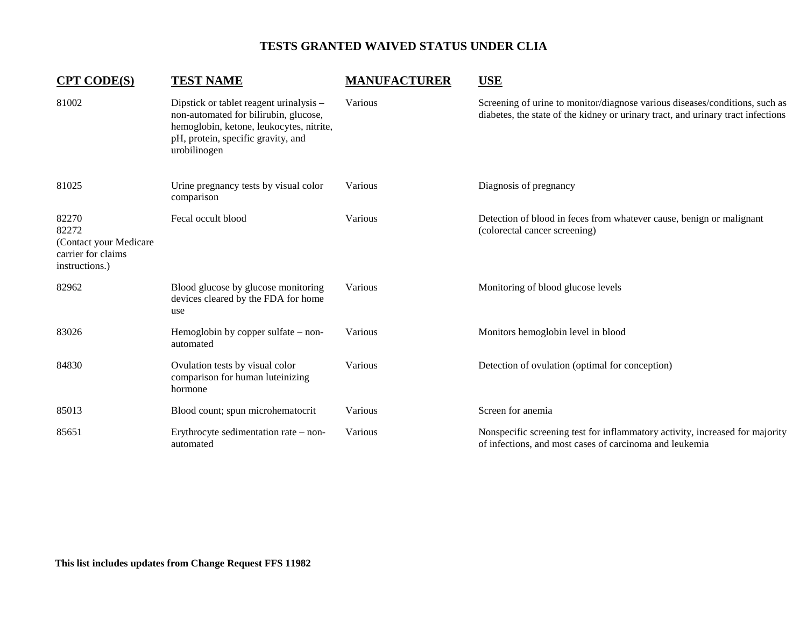| <b>CPT CODE(S)</b>                                                               | <b>TEST NAME</b>                                                                                                                                                                   | <b>MANUFACTURER</b> | <b>USE</b>                                                                                                                                                      |
|----------------------------------------------------------------------------------|------------------------------------------------------------------------------------------------------------------------------------------------------------------------------------|---------------------|-----------------------------------------------------------------------------------------------------------------------------------------------------------------|
| 81002                                                                            | Dipstick or tablet reagent urinalysis -<br>non-automated for bilirubin, glucose,<br>hemoglobin, ketone, leukocytes, nitrite,<br>pH, protein, specific gravity, and<br>urobilinogen | Various             | Screening of urine to monitor/diagnose various diseases/conditions, such as<br>diabetes, the state of the kidney or urinary tract, and urinary tract infections |
| 81025                                                                            | Urine pregnancy tests by visual color<br>comparison                                                                                                                                | Various             | Diagnosis of pregnancy                                                                                                                                          |
| 82270<br>82272<br>(Contact your Medicare<br>carrier for claims<br>instructions.) | Fecal occult blood                                                                                                                                                                 | Various             | Detection of blood in feces from whatever cause, benign or malignant<br>(colorectal cancer screening)                                                           |
| 82962                                                                            | Blood glucose by glucose monitoring<br>devices cleared by the FDA for home<br>use                                                                                                  | Various             | Monitoring of blood glucose levels                                                                                                                              |
| 83026                                                                            | Hemoglobin by copper sulfate $-$ non-<br>automated                                                                                                                                 | Various             | Monitors hemoglobin level in blood                                                                                                                              |
| 84830                                                                            | Ovulation tests by visual color<br>comparison for human luteinizing<br>hormone                                                                                                     | Various             | Detection of ovulation (optimal for conception)                                                                                                                 |
| 85013                                                                            | Blood count; spun microhematocrit                                                                                                                                                  | Various             | Screen for anemia                                                                                                                                               |
| 85651                                                                            | Erythrocyte sedimentation rate – non-<br>automated                                                                                                                                 | Various             | Nonspecific screening test for inflammatory activity, increased for majority<br>of infections, and most cases of carcinoma and leukemia                         |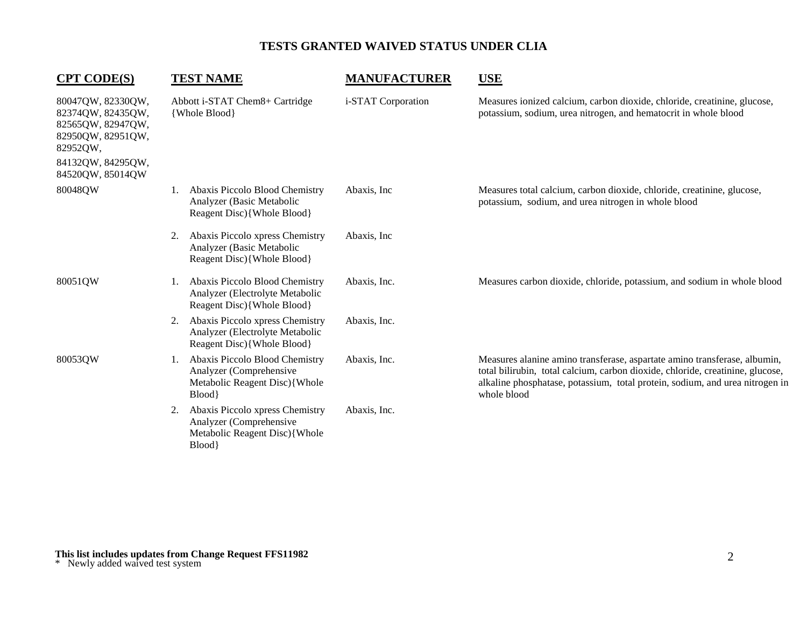| <b>CPT CODE(S)</b>                                                                                                                    | <b>TEST NAME</b>                                                                                           | <b>MANUFACTURER</b> | <b>USE</b>                                                                                                                                                                                                                                                 |
|---------------------------------------------------------------------------------------------------------------------------------------|------------------------------------------------------------------------------------------------------------|---------------------|------------------------------------------------------------------------------------------------------------------------------------------------------------------------------------------------------------------------------------------------------------|
| 80047QW, 82330QW,<br>82374QW, 82435QW,<br>82565QW, 82947QW,<br>82950QW, 82951QW,<br>82952QW,<br>84132QW, 84295QW,<br>84520QW, 85014QW | Abbott i-STAT Chem8+ Cartridge<br>{Whole Blood}                                                            | i-STAT Corporation  | Measures ionized calcium, carbon dioxide, chloride, creatinine, glucose,<br>potassium, sodium, urea nitrogen, and hematocrit in whole blood                                                                                                                |
| 80048QW                                                                                                                               | Abaxis Piccolo Blood Chemistry<br>1.<br>Analyzer (Basic Metabolic<br>Reagent Disc){Whole Blood}            | Abaxis, Inc.        | Measures total calcium, carbon dioxide, chloride, creatinine, glucose,<br>potassium, sodium, and urea nitrogen in whole blood                                                                                                                              |
|                                                                                                                                       | Abaxis Piccolo xpress Chemistry<br>2.<br>Analyzer (Basic Metabolic<br>Reagent Disc){Whole Blood}           | Abaxis, Inc.        |                                                                                                                                                                                                                                                            |
| 80051QW                                                                                                                               | Abaxis Piccolo Blood Chemistry<br>Analyzer (Electrolyte Metabolic<br>Reagent Disc){Whole Blood}            | Abaxis, Inc.        | Measures carbon dioxide, chloride, potassium, and sodium in whole blood                                                                                                                                                                                    |
|                                                                                                                                       | Abaxis Piccolo xpress Chemistry<br>2.<br>Analyzer (Electrolyte Metabolic<br>Reagent Disc){Whole Blood}     | Abaxis, Inc.        |                                                                                                                                                                                                                                                            |
| 80053QW                                                                                                                               | Abaxis Piccolo Blood Chemistry<br>Analyzer (Comprehensive<br>Metabolic Reagent Disc){Whole<br>Blood}       | Abaxis, Inc.        | Measures alanine amino transferase, aspartate amino transferase, albumin,<br>total bilirubin, total calcium, carbon dioxide, chloride, creatinine, glucose,<br>alkaline phosphatase, potassium, total protein, sodium, and urea nitrogen in<br>whole blood |
|                                                                                                                                       | Abaxis Piccolo xpress Chemistry<br>2.<br>Analyzer (Comprehensive<br>Metabolic Reagent Disc){Whole<br>Blood | Abaxis, Inc.        |                                                                                                                                                                                                                                                            |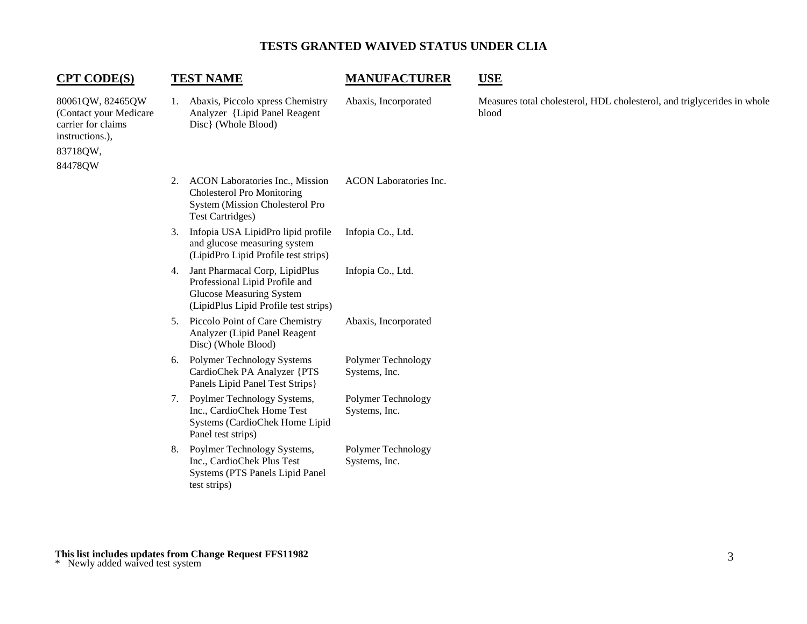| <b>CPT CODE(S)</b>                                                                                         |    | <b>TEST NAME</b>                                                                                                                             | <b>MANUFACTURER</b>                 | <b>USE</b>                                                                       |
|------------------------------------------------------------------------------------------------------------|----|----------------------------------------------------------------------------------------------------------------------------------------------|-------------------------------------|----------------------------------------------------------------------------------|
| 80061QW, 82465QW<br>(Contact your Medicare<br>carrier for claims<br>instructions.),<br>83718QW,<br>84478QW |    | 1. Abaxis, Piccolo xpress Chemistry<br>Analyzer {Lipid Panel Reagent<br>Disc} (Whole Blood)                                                  | Abaxis, Incorporated                | Measures total cholesterol, HDL cholesterol, and triglycerides in whole<br>blood |
|                                                                                                            | 2. | <b>ACON Laboratories Inc., Mission</b><br><b>Cholesterol Pro Monitoring</b><br>System (Mission Cholesterol Pro<br><b>Test Cartridges)</b>    | <b>ACON</b> Laboratories Inc.       |                                                                                  |
|                                                                                                            | 3. | Infopia USA LipidPro lipid profile<br>and glucose measuring system<br>(LipidPro Lipid Profile test strips)                                   | Infopia Co., Ltd.                   |                                                                                  |
|                                                                                                            | 4. | Jant Pharmacal Corp, LipidPlus<br>Professional Lipid Profile and<br><b>Glucose Measuring System</b><br>(LipidPlus Lipid Profile test strips) | Infopia Co., Ltd.                   |                                                                                  |
|                                                                                                            | 5. | Piccolo Point of Care Chemistry<br>Analyzer (Lipid Panel Reagent<br>Disc) (Whole Blood)                                                      | Abaxis, Incorporated                |                                                                                  |
|                                                                                                            | 6. | <b>Polymer Technology Systems</b><br>CardioChek PA Analyzer {PTS<br>Panels Lipid Panel Test Strips }                                         | Polymer Technology<br>Systems, Inc. |                                                                                  |
|                                                                                                            | 7. | Poylmer Technology Systems,<br>Inc., CardioChek Home Test<br>Systems (CardioChek Home Lipid<br>Panel test strips)                            | Polymer Technology<br>Systems, Inc. |                                                                                  |
|                                                                                                            | 8. | Poylmer Technology Systems,<br>Inc., CardioChek Plus Test<br>Systems (PTS Panels Lipid Panel<br>test strips)                                 | Polymer Technology<br>Systems, Inc. |                                                                                  |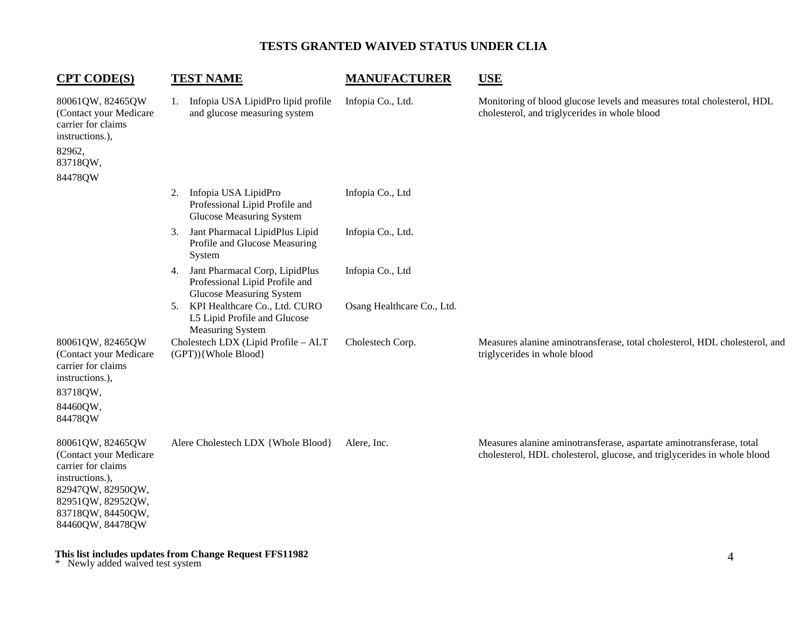| <b>CPT CODE(S)</b>                                                                                                                                                     | <b>TEST NAME</b>                                                                                          | <b>MANUFACTURER</b>        | <b>USE</b>                                                                                                                                      |
|------------------------------------------------------------------------------------------------------------------------------------------------------------------------|-----------------------------------------------------------------------------------------------------------|----------------------------|-------------------------------------------------------------------------------------------------------------------------------------------------|
| 80061QW, 82465QW<br>(Contact your Medicare<br>carrier for claims<br>instructions.),<br>82962,<br>83718QW,<br>84478QW                                                   | Infopia USA LipidPro lipid profile<br>1.<br>and glucose measuring system                                  | Infopia Co., Ltd.          | Monitoring of blood glucose levels and measures total cholesterol, HDL<br>cholesterol, and triglycerides in whole blood                         |
|                                                                                                                                                                        | Infopia USA LipidPro<br>2.<br>Professional Lipid Profile and<br><b>Glucose Measuring System</b>           | Infopia Co., Ltd           |                                                                                                                                                 |
|                                                                                                                                                                        | Jant Pharmacal LipidPlus Lipid<br>3.<br>Profile and Glucose Measuring<br>System                           | Infopia Co., Ltd.          |                                                                                                                                                 |
|                                                                                                                                                                        | Jant Pharmacal Corp, LipidPlus<br>4.<br>Professional Lipid Profile and<br><b>Glucose Measuring System</b> | Infopia Co., Ltd           |                                                                                                                                                 |
|                                                                                                                                                                        | 5. KPI Healthcare Co., Ltd. CURO<br>L5 Lipid Profile and Glucose<br><b>Measuring System</b>               | Osang Healthcare Co., Ltd. |                                                                                                                                                 |
| 80061QW, 82465QW<br>(Contact your Medicare<br>carrier for claims<br>instructions.),<br>83718QW,                                                                        | Cholestech LDX (Lipid Profile - ALT<br>(GPT)){Whole Blood}                                                | Cholestech Corp.           | Measures alanine aminotransferase, total cholesterol, HDL cholesterol, and<br>triglycerides in whole blood                                      |
| 84460QW,<br>84478QW                                                                                                                                                    |                                                                                                           |                            |                                                                                                                                                 |
| 80061QW, 82465QW<br>(Contact your Medicare<br>carrier for claims<br>instructions.),<br>82947QW, 82950QW,<br>82951QW, 82952QW,<br>83718QW, 84450QW,<br>84460QW, 84478QW | Alere Cholestech LDX {Whole Blood}                                                                        | Alere, Inc.                | Measures alanine aminotransferase, aspartate aminotransferase, total<br>cholesterol, HDL cholesterol, glucose, and triglycerides in whole blood |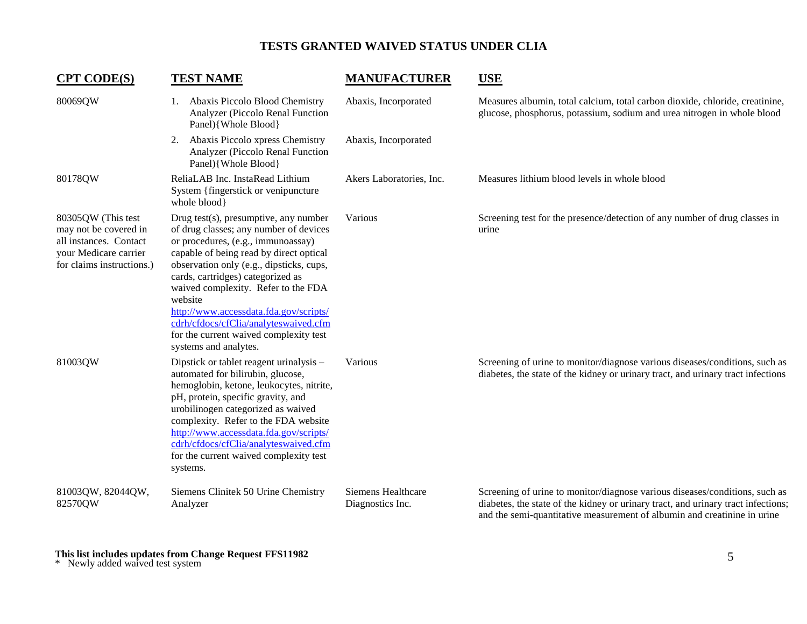| <b>CPT CODE(S)</b>                                                                                                          | <b>TEST NAME</b>                                                                                                                                                                                                                                                                                                                                                                                                                                          | <b>MANUFACTURER</b>                    | <b>USE</b>                                                                                                                                                                                                                                   |
|-----------------------------------------------------------------------------------------------------------------------------|-----------------------------------------------------------------------------------------------------------------------------------------------------------------------------------------------------------------------------------------------------------------------------------------------------------------------------------------------------------------------------------------------------------------------------------------------------------|----------------------------------------|----------------------------------------------------------------------------------------------------------------------------------------------------------------------------------------------------------------------------------------------|
| 80069QW                                                                                                                     | Abaxis Piccolo Blood Chemistry<br>Ι.<br>Analyzer (Piccolo Renal Function<br>Panel){Whole Blood}                                                                                                                                                                                                                                                                                                                                                           | Abaxis, Incorporated                   | Measures albumin, total calcium, total carbon dioxide, chloride, creatinine,<br>glucose, phosphorus, potassium, sodium and urea nitrogen in whole blood                                                                                      |
|                                                                                                                             | Abaxis Piccolo xpress Chemistry<br>2.<br>Analyzer (Piccolo Renal Function<br>Panel){Whole Blood}                                                                                                                                                                                                                                                                                                                                                          | Abaxis, Incorporated                   |                                                                                                                                                                                                                                              |
| 80178QW                                                                                                                     | ReliaLAB Inc. InstaRead Lithium<br>System {fingerstick or venipuncture}<br>whole blood}                                                                                                                                                                                                                                                                                                                                                                   | Akers Laboratories, Inc.               | Measures lithium blood levels in whole blood                                                                                                                                                                                                 |
| 80305QW (This test<br>may not be covered in<br>all instances. Contact<br>your Medicare carrier<br>for claims instructions.) | Drug test(s), presumptive, any number<br>of drug classes; any number of devices<br>or procedures, (e.g., immunoassay)<br>capable of being read by direct optical<br>observation only (e.g., dipsticks, cups,<br>cards, cartridges) categorized as<br>waived complexity. Refer to the FDA<br>website<br>http://www.accessdata.fda.gov/scripts/<br>cdrh/cfdocs/cfClia/analyteswaived.cfm<br>for the current waived complexity test<br>systems and analytes. | Various                                | Screening test for the presence/detection of any number of drug classes in<br>urine                                                                                                                                                          |
| 81003QW                                                                                                                     | Dipstick or tablet reagent urinalysis -<br>automated for bilirubin, glucose,<br>hemoglobin, ketone, leukocytes, nitrite,<br>pH, protein, specific gravity, and<br>urobilinogen categorized as waived<br>complexity. Refer to the FDA website<br>http://www.accessdata.fda.gov/scripts/<br>cdrh/cfdocs/cfClia/analyteswaived.cfm<br>for the current waived complexity test<br>systems.                                                                     | Various                                | Screening of urine to monitor/diagnose various diseases/conditions, such as<br>diabetes, the state of the kidney or urinary tract, and urinary tract infections                                                                              |
| 81003QW, 82044QW,<br>82570QW                                                                                                | Siemens Clinitek 50 Urine Chemistry<br>Analyzer                                                                                                                                                                                                                                                                                                                                                                                                           | Siemens Healthcare<br>Diagnostics Inc. | Screening of urine to monitor/diagnose various diseases/conditions, such as<br>diabetes, the state of the kidney or urinary tract, and urinary tract infections;<br>and the semi-quantitative measurement of albumin and creatinine in urine |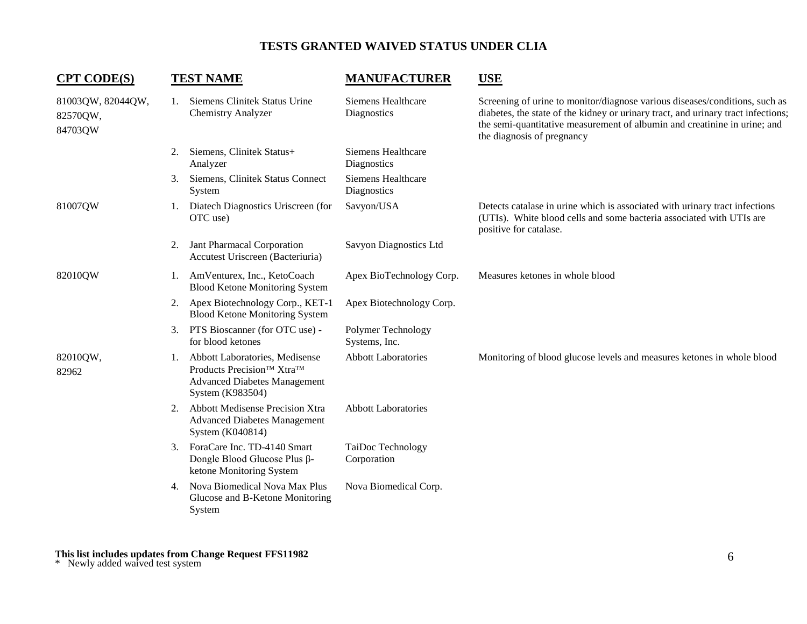| <b>CPT CODE(S)</b>                       |    | <b>TEST NAME</b>                                                                                                                      | <b>MANUFACTURER</b>                      | <b>USE</b>                                                                                                                                                                                                                                                                  |
|------------------------------------------|----|---------------------------------------------------------------------------------------------------------------------------------------|------------------------------------------|-----------------------------------------------------------------------------------------------------------------------------------------------------------------------------------------------------------------------------------------------------------------------------|
| 81003QW, 82044QW,<br>82570QW,<br>84703QW | 1. | Siemens Clinitek Status Urine<br><b>Chemistry Analyzer</b>                                                                            | Siemens Healthcare<br>Diagnostics        | Screening of urine to monitor/diagnose various diseases/conditions, such as<br>diabetes, the state of the kidney or urinary tract, and urinary tract infections;<br>the semi-quantitative measurement of albumin and creatinine in urine; and<br>the diagnosis of pregnancy |
|                                          | 2. | Siemens, Clinitek Status+<br>Analyzer                                                                                                 | Siemens Healthcare<br>Diagnostics        |                                                                                                                                                                                                                                                                             |
|                                          | 3. | Siemens, Clinitek Status Connect<br>System                                                                                            | <b>Siemens Healthcare</b><br>Diagnostics |                                                                                                                                                                                                                                                                             |
| 81007QW                                  | 1. | Diatech Diagnostics Uriscreen (for<br>OTC use)                                                                                        | Savyon/USA                               | Detects catalase in urine which is associated with urinary tract infections<br>(UTIs). White blood cells and some bacteria associated with UTIs are<br>positive for catalase.                                                                                               |
|                                          | 2. | Jant Pharmacal Corporation<br>Accutest Uriscreen (Bacteriuria)                                                                        | Savyon Diagnostics Ltd                   |                                                                                                                                                                                                                                                                             |
| 82010QW                                  | 1. | AmVenturex, Inc., KetoCoach<br><b>Blood Ketone Monitoring System</b>                                                                  | Apex BioTechnology Corp.                 | Measures ketones in whole blood                                                                                                                                                                                                                                             |
|                                          | 2. | Apex Biotechnology Corp., KET-1<br><b>Blood Ketone Monitoring System</b>                                                              | Apex Biotechnology Corp.                 |                                                                                                                                                                                                                                                                             |
|                                          | 3. | PTS Bioscanner (for OTC use) -<br>for blood ketones                                                                                   | Polymer Technology<br>Systems, Inc.      |                                                                                                                                                                                                                                                                             |
| 82010QW,<br>82962                        |    | 1. Abbott Laboratories, Medisense<br>Products Precision <sup>™</sup> Xtra™<br><b>Advanced Diabetes Management</b><br>System (K983504) | <b>Abbott Laboratories</b>               | Monitoring of blood glucose levels and measures ketones in whole blood                                                                                                                                                                                                      |
|                                          | 2. | <b>Abbott Medisense Precision Xtra</b><br><b>Advanced Diabetes Management</b><br>System (K040814)                                     | <b>Abbott Laboratories</b>               |                                                                                                                                                                                                                                                                             |
|                                          | 3. | ForaCare Inc. TD-4140 Smart<br>Dongle Blood Glucose Plus $\beta$ -<br>ketone Monitoring System                                        | TaiDoc Technology<br>Corporation         |                                                                                                                                                                                                                                                                             |
|                                          | 4. | Nova Biomedical Nova Max Plus<br>Glucose and B-Ketone Monitoring<br>System                                                            | Nova Biomedical Corp.                    |                                                                                                                                                                                                                                                                             |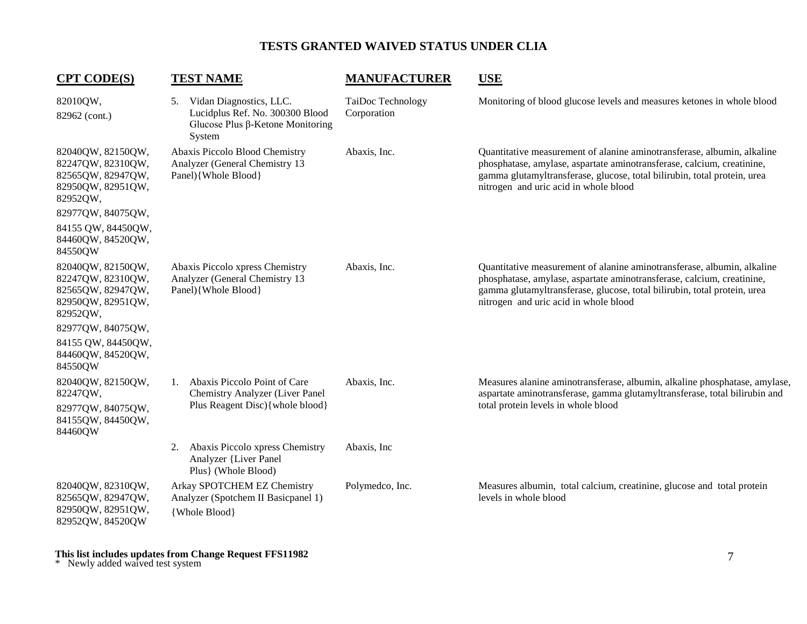| <b>CPT CODE(S)</b>                                                                                                                                                      | <b>TEST NAME</b>                                                                                                   | <b>MANUFACTURER</b>              | <b>USE</b>                                                                                                                                                                                                                                                             |
|-------------------------------------------------------------------------------------------------------------------------------------------------------------------------|--------------------------------------------------------------------------------------------------------------------|----------------------------------|------------------------------------------------------------------------------------------------------------------------------------------------------------------------------------------------------------------------------------------------------------------------|
| 82010QW,<br>82962 (cont.)                                                                                                                                               | 5. Vidan Diagnostics, LLC.<br>Lucidplus Ref. No. 300300 Blood<br>Glucose Plus $\beta$ -Ketone Monitoring<br>System | TaiDoc Technology<br>Corporation | Monitoring of blood glucose levels and measures ketones in whole blood                                                                                                                                                                                                 |
| 82040QW, 82150QW,<br>82247QW, 82310QW,<br>82565QW, 82947QW,<br>82950QW, 82951QW,<br>82952QW,<br>82977QW, 84075QW,<br>84155 QW, 84450QW,<br>84460QW, 84520QW,<br>84550QW | Abaxis Piccolo Blood Chemistry<br>Analyzer (General Chemistry 13<br>Panel){Whole Blood}                            | Abaxis, Inc.                     | Quantitative measurement of alanine aminotransferase, albumin, alkaline<br>phosphatase, amylase, aspartate aminotransferase, calcium, creatinine,<br>gamma glutamyltransferase, glucose, total bilirubin, total protein, urea<br>nitrogen and uric acid in whole blood |
| 82040QW, 82150QW,<br>82247QW, 82310QW,<br>82565QW, 82947QW,<br>82950QW, 82951QW,<br>82952QW,<br>82977QW, 84075QW,<br>84155 QW, 84450QW,<br>84460QW, 84520QW,<br>84550QW | Abaxis Piccolo xpress Chemistry<br>Analyzer (General Chemistry 13<br>Panel){Whole Blood}                           | Abaxis, Inc.                     | Quantitative measurement of alanine aminotransferase, albumin, alkaline<br>phosphatase, amylase, aspartate aminotransferase, calcium, creatinine,<br>gamma glutamyltransferase, glucose, total bilirubin, total protein, urea<br>nitrogen and uric acid in whole blood |
| 82040QW, 82150QW,<br>82247QW,<br>82977QW, 84075QW,<br>84155QW, 84450QW,<br>84460QW                                                                                      | Abaxis Piccolo Point of Care<br>1.<br>Chemistry Analyzer (Liver Panel<br>Plus Reagent Disc) { whole blood }        | Abaxis, Inc.                     | Measures alanine aminotransferase, albumin, alkaline phosphatase, amylase,<br>aspartate aminotransferase, gamma glutamyltransferase, total bilirubin and<br>total protein levels in whole blood                                                                        |
|                                                                                                                                                                         | Abaxis Piccolo xpress Chemistry<br>2.<br><b>Analyzer {Liver Panel</b><br>Plus} (Whole Blood)                       | Abaxis, Inc.                     |                                                                                                                                                                                                                                                                        |
| 82040QW, 82310QW,<br>82565QW, 82947QW,<br>82950QW, 82951QW,<br>82952QW, 84520QW                                                                                         | Arkay SPOTCHEM EZ Chemistry<br>Analyzer (Spotchem II Basicpanel 1)<br>{Whole Blood}                                | Polymedco, Inc.                  | Measures albumin, total calcium, creatinine, glucose and total protein<br>levels in whole blood                                                                                                                                                                        |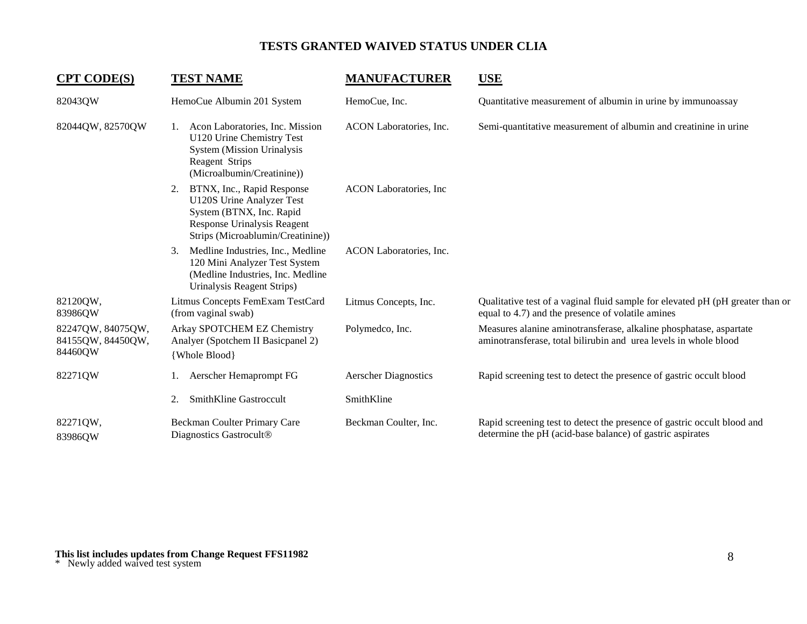| <b>CPT CODE(S)</b>                                | <b>TEST NAME</b>                                                                                                                                                     | <b>MANUFACTURER</b>            | <b>USE</b>                                                                                                                             |
|---------------------------------------------------|----------------------------------------------------------------------------------------------------------------------------------------------------------------------|--------------------------------|----------------------------------------------------------------------------------------------------------------------------------------|
| 82043QW                                           | HemoCue Albumin 201 System                                                                                                                                           | HemoCue, Inc.                  | Quantitative measurement of albumin in urine by immunoassay                                                                            |
| 82044QW, 82570QW                                  | Acon Laboratories, Inc. Mission<br>1.<br>U120 Urine Chemistry Test<br><b>System (Mission Urinalysis)</b><br>Reagent Strips<br>(Microalbumin/Creatinine))             | ACON Laboratories, Inc.        | Semi-quantitative measurement of albumin and creatinine in urine                                                                       |
|                                                   | BTNX, Inc., Rapid Response<br>2.<br>U120S Urine Analyzer Test<br>System (BTNX, Inc. Rapid<br><b>Response Urinalysis Reagent</b><br>Strips (Microablumin/Creatinine)) | <b>ACON</b> Laboratories, Inc. |                                                                                                                                        |
|                                                   | Medline Industries, Inc., Medline<br>3.<br>120 Mini Analyzer Test System<br>(Medline Industries, Inc. Medline<br>Urinalysis Reagent Strips)                          | ACON Laboratories, Inc.        |                                                                                                                                        |
| 82120QW,<br>83986QW                               | Litmus Concepts FemExam TestCard<br>(from vaginal swab)                                                                                                              | Litmus Concepts, Inc.          | Qualitative test of a vaginal fluid sample for elevated pH (pH greater than or<br>equal to 4.7) and the presence of volatile amines    |
| 82247QW, 84075QW,<br>84155QW, 84450QW,<br>84460QW | Arkay SPOTCHEM EZ Chemistry<br>Analyer (Spotchem II Basicpanel 2)<br>{Whole Blood}                                                                                   | Polymedco, Inc.                | Measures alanine aminotransferase, alkaline phosphatase, aspartate<br>aminotransferase, total bilirubin and urea levels in whole blood |
| 82271QW                                           | Aerscher Hemaprompt FG                                                                                                                                               | <b>Aerscher Diagnostics</b>    | Rapid screening test to detect the presence of gastric occult blood                                                                    |
|                                                   | SmithKline Gastroccult<br>2.                                                                                                                                         | SmithKline                     |                                                                                                                                        |
| 82271QW,<br>83986QW                               | Beckman Coulter Primary Care<br>Diagnostics Gastrocult®                                                                                                              | Beckman Coulter, Inc.          | Rapid screening test to detect the presence of gastric occult blood and<br>determine the pH (acid-base balance) of gastric aspirates   |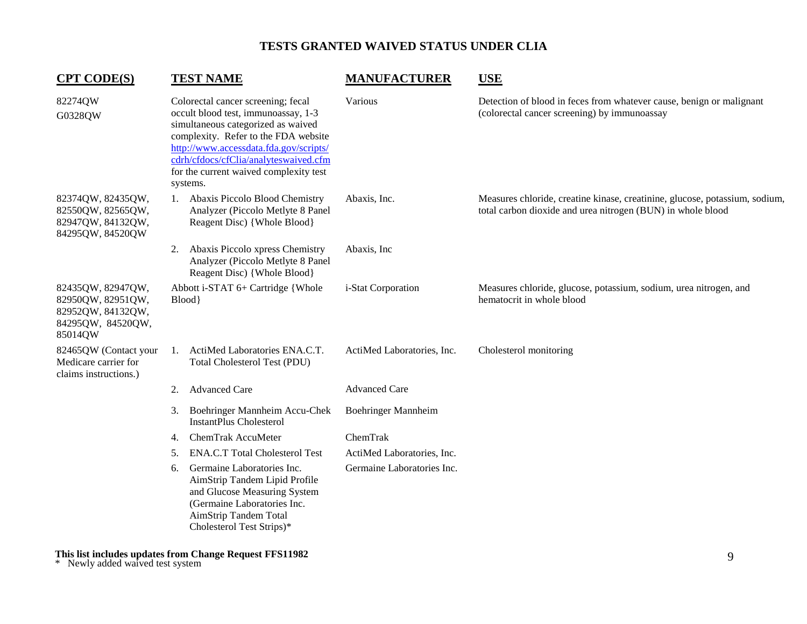| <b>CPT CODE(S)</b>                                                                          |    | <b>TEST NAME</b>                                                                                                                                                                                                                                                                                 | <b>MANUFACTURER</b>        | <b>USE</b>                                                                                                                                 |
|---------------------------------------------------------------------------------------------|----|--------------------------------------------------------------------------------------------------------------------------------------------------------------------------------------------------------------------------------------------------------------------------------------------------|----------------------------|--------------------------------------------------------------------------------------------------------------------------------------------|
| 82274QW<br>G0328QW                                                                          |    | Colorectal cancer screening; fecal<br>occult blood test, immunoassay, 1-3<br>simultaneous categorized as waived<br>complexity. Refer to the FDA website<br>http://www.accessdata.fda.gov/scripts/<br>cdrh/cfdocs/cfClia/analyteswaived.cfm<br>for the current waived complexity test<br>systems. | Various                    | Detection of blood in feces from whatever cause, benign or malignant<br>(colorectal cancer screening) by immunoassay                       |
| 82374QW, 82435QW,<br>82550QW, 82565QW,<br>82947QW, 84132QW,<br>84295QW, 84520QW             |    | 1. Abaxis Piccolo Blood Chemistry<br>Analyzer (Piccolo Metlyte 8 Panel<br>Reagent Disc) {Whole Blood}                                                                                                                                                                                            | Abaxis, Inc.               | Measures chloride, creatine kinase, creatinine, glucose, potassium, sodium,<br>total carbon dioxide and urea nitrogen (BUN) in whole blood |
|                                                                                             | 2. | Abaxis Piccolo xpress Chemistry<br>Analyzer (Piccolo Metlyte 8 Panel<br>Reagent Disc) {Whole Blood}                                                                                                                                                                                              | Abaxis, Inc                |                                                                                                                                            |
| 82435QW, 82947QW,<br>82950QW, 82951QW,<br>82952QW, 84132QW,<br>84295QW, 84520QW,<br>85014QW |    | Abbott i-STAT 6+ Cartridge {Whole<br>Blood                                                                                                                                                                                                                                                       | i-Stat Corporation         | Measures chloride, glucose, potassium, sodium, urea nitrogen, and<br>hematocrit in whole blood                                             |
| 82465QW (Contact your<br>Medicare carrier for<br>claims instructions.)                      | 1. | ActiMed Laboratories ENA.C.T.<br>Total Cholesterol Test (PDU)                                                                                                                                                                                                                                    | ActiMed Laboratories, Inc. | Cholesterol monitoring                                                                                                                     |
|                                                                                             | 2. | <b>Advanced Care</b>                                                                                                                                                                                                                                                                             | <b>Advanced Care</b>       |                                                                                                                                            |
|                                                                                             | 3. | Boehringer Mannheim Accu-Chek<br><b>InstantPlus Cholesterol</b>                                                                                                                                                                                                                                  | <b>Boehringer Mannheim</b> |                                                                                                                                            |
|                                                                                             | 4. | ChemTrak AccuMeter                                                                                                                                                                                                                                                                               | ChemTrak                   |                                                                                                                                            |
|                                                                                             | 5. | <b>ENA.C.T Total Cholesterol Test</b>                                                                                                                                                                                                                                                            | ActiMed Laboratories, Inc. |                                                                                                                                            |
|                                                                                             | 6. | Germaine Laboratories Inc.<br>AimStrip Tandem Lipid Profile<br>and Glucose Measuring System<br>(Germaine Laboratories Inc.<br>AimStrip Tandem Total<br>Cholesterol Test Strips)*                                                                                                                 | Germaine Laboratories Inc. |                                                                                                                                            |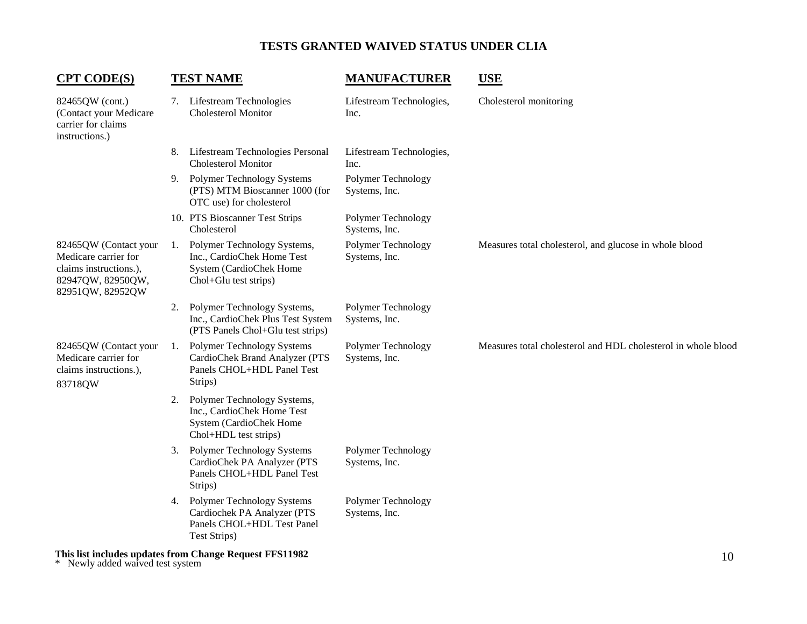| <b>CPT CODE(S)</b>                                                                                               |    | <b>TEST NAME</b>                                                                                              | <b>MANUFACTURER</b>                 | <b>USE</b>                                                    |
|------------------------------------------------------------------------------------------------------------------|----|---------------------------------------------------------------------------------------------------------------|-------------------------------------|---------------------------------------------------------------|
| 82465QW (cont.)<br>(Contact your Medicare<br>carrier for claims<br>instructions.)                                |    | 7. Lifestream Technologies<br><b>Cholesterol Monitor</b>                                                      | Lifestream Technologies,<br>Inc.    | Cholesterol monitoring                                        |
|                                                                                                                  | 8. | Lifestream Technologies Personal<br><b>Cholesterol Monitor</b>                                                | Lifestream Technologies,<br>Inc.    |                                                               |
|                                                                                                                  |    | 9. Polymer Technology Systems<br>(PTS) MTM Bioscanner 1000 (for<br>OTC use) for cholesterol                   | Polymer Technology<br>Systems, Inc. |                                                               |
|                                                                                                                  |    | 10. PTS Bioscanner Test Strips<br>Cholesterol                                                                 | Polymer Technology<br>Systems, Inc. |                                                               |
| 82465QW (Contact your<br>Medicare carrier for<br>claims instructions.),<br>82947QW, 82950QW,<br>82951QW, 82952QW | 1. | Polymer Technology Systems,<br>Inc., CardioChek Home Test<br>System (CardioChek Home<br>Chol+Glu test strips) | Polymer Technology<br>Systems, Inc. | Measures total cholesterol, and glucose in whole blood        |
|                                                                                                                  | 2. | Polymer Technology Systems,<br>Inc., CardioChek Plus Test System<br>(PTS Panels Chol+Glu test strips)         | Polymer Technology<br>Systems, Inc. |                                                               |
| 82465QW (Contact your<br>Medicare carrier for<br>claims instructions.),<br>83718QW                               | 1. | Polymer Technology Systems<br>CardioChek Brand Analyzer (PTS<br>Panels CHOL+HDL Panel Test<br>Strips)         | Polymer Technology<br>Systems, Inc. | Measures total cholesterol and HDL cholesterol in whole blood |
|                                                                                                                  | 2. | Polymer Technology Systems,<br>Inc., CardioChek Home Test<br>System (CardioChek Home<br>Chol+HDL test strips) |                                     |                                                               |
|                                                                                                                  |    | 3. Polymer Technology Systems<br>CardioChek PA Analyzer (PTS<br>Panels CHOL+HDL Panel Test<br>Strips)         | Polymer Technology<br>Systems, Inc. |                                                               |
|                                                                                                                  |    | 4. Polymer Technology Systems<br>Cardiochek PA Analyzer (PTS<br>Panels CHOL+HDL Test Panel<br>Test Strips)    | Polymer Technology<br>Systems, Inc. |                                                               |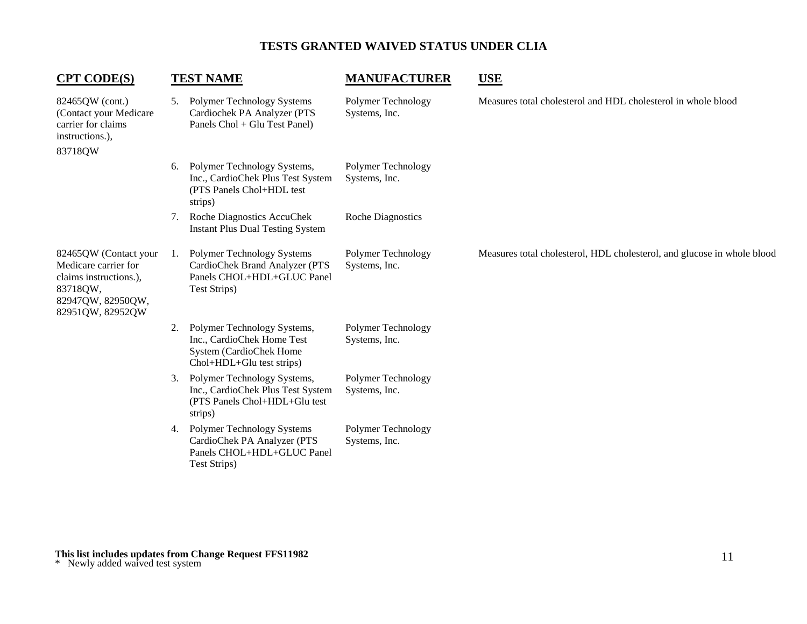| <b>CPT CODE(S)</b>                                                                                                           |     | <b>TEST NAME</b>                                                                                                  | <b>MANUFACTURER</b>                 | <b>USE</b>                                                              |
|------------------------------------------------------------------------------------------------------------------------------|-----|-------------------------------------------------------------------------------------------------------------------|-------------------------------------|-------------------------------------------------------------------------|
| 82465QW (cont.)<br>(Contact your Medicare<br>carrier for claims<br>instructions.),<br>83718QW                                | 5.  | Polymer Technology Systems<br>Cardiochek PA Analyzer (PTS<br>Panels Chol + Glu Test Panel)                        | Polymer Technology<br>Systems, Inc. | Measures total cholesterol and HDL cholesterol in whole blood           |
|                                                                                                                              | 6.  | Polymer Technology Systems,<br>Inc., CardioChek Plus Test System<br>(PTS Panels Chol+HDL test<br>strips)          | Polymer Technology<br>Systems, Inc. |                                                                         |
|                                                                                                                              | 7.  | Roche Diagnostics AccuChek<br><b>Instant Plus Dual Testing System</b>                                             | <b>Roche Diagnostics</b>            |                                                                         |
| 82465QW (Contact your<br>Medicare carrier for<br>claims instructions.),<br>83718QW,<br>82947QW, 82950QW,<br>82951QW, 82952QW | -1. | Polymer Technology Systems<br>CardioChek Brand Analyzer (PTS<br>Panels CHOL+HDL+GLUC Panel<br>Test Strips)        | Polymer Technology<br>Systems, Inc. | Measures total cholesterol, HDL cholesterol, and glucose in whole blood |
|                                                                                                                              | 2.  | Polymer Technology Systems,<br>Inc., CardioChek Home Test<br>System (CardioChek Home<br>Chol+HDL+Glu test strips) | Polymer Technology<br>Systems, Inc. |                                                                         |
|                                                                                                                              | 3.  | Polymer Technology Systems,<br>Inc., CardioChek Plus Test System<br>(PTS Panels Chol+HDL+Glu test<br>strips)      | Polymer Technology<br>Systems, Inc. |                                                                         |
|                                                                                                                              | 4.  | <b>Polymer Technology Systems</b><br>CardioChek PA Analyzer (PTS<br>Panels CHOL+HDL+GLUC Panel<br>Test Strips)    | Polymer Technology<br>Systems, Inc. |                                                                         |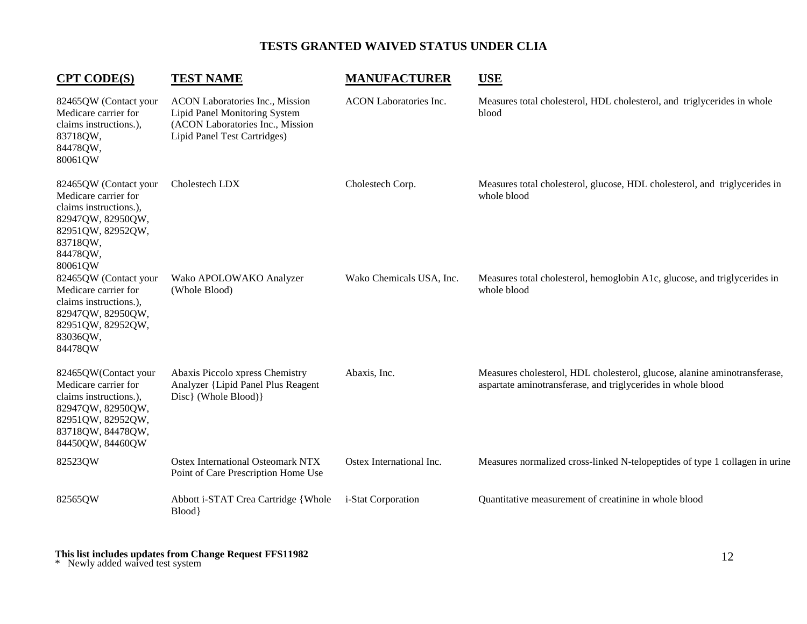| <b>CPT CODE(S)</b>                                                                                                                                        | <b>TEST NAME</b>                                                                                                                     | <b>MANUFACTURER</b>           | <b>USE</b>                                                                                                                                |
|-----------------------------------------------------------------------------------------------------------------------------------------------------------|--------------------------------------------------------------------------------------------------------------------------------------|-------------------------------|-------------------------------------------------------------------------------------------------------------------------------------------|
| 82465QW (Contact your<br>Medicare carrier for<br>claims instructions.),<br>83718QW,<br>84478QW,<br>80061QW                                                | ACON Laboratories Inc., Mission<br>Lipid Panel Monitoring System<br>(ACON Laboratories Inc., Mission<br>Lipid Panel Test Cartridges) | <b>ACON</b> Laboratories Inc. | Measures total cholesterol, HDL cholesterol, and triglycerides in whole<br>blood                                                          |
| 82465QW (Contact your<br>Medicare carrier for<br>claims instructions.),<br>82947QW, 82950QW,<br>82951QW, 82952QW,<br>83718QW,<br>84478QW,<br>80061QW      | Cholestech LDX                                                                                                                       | Cholestech Corp.              | Measures total cholesterol, glucose, HDL cholesterol, and triglycerides in<br>whole blood                                                 |
| 82465QW (Contact your<br>Medicare carrier for<br>claims instructions.),<br>82947QW, 82950QW,<br>82951QW, 82952QW,<br>83036QW,<br>84478QW                  | Wako APOLOWAKO Analyzer<br>(Whole Blood)                                                                                             | Wako Chemicals USA, Inc.      | Measures total cholesterol, hemoglobin A1c, glucose, and triglycerides in<br>whole blood                                                  |
| 82465QW(Contact your<br>Medicare carrier for<br>claims instructions.),<br>82947QW, 82950QW,<br>82951QW, 82952QW,<br>83718QW, 84478QW,<br>84450QW, 84460QW | Abaxis Piccolo xpress Chemistry<br>Analyzer {Lipid Panel Plus Reagent<br>Disc} (Whole Blood)}                                        | Abaxis, Inc.                  | Measures cholesterol, HDL cholesterol, glucose, alanine aminotransferase,<br>aspartate aminotransferase, and triglycerides in whole blood |
| 82523QW                                                                                                                                                   | Ostex International Osteomark NTX<br>Point of Care Prescription Home Use                                                             | Ostex International Inc.      | Measures normalized cross-linked N-telopeptides of type 1 collagen in urine                                                               |
| 82565QW                                                                                                                                                   | Abbott i-STAT Crea Cartridge {Whole<br>Blood}                                                                                        | i-Stat Corporation            | Quantitative measurement of creatinine in whole blood                                                                                     |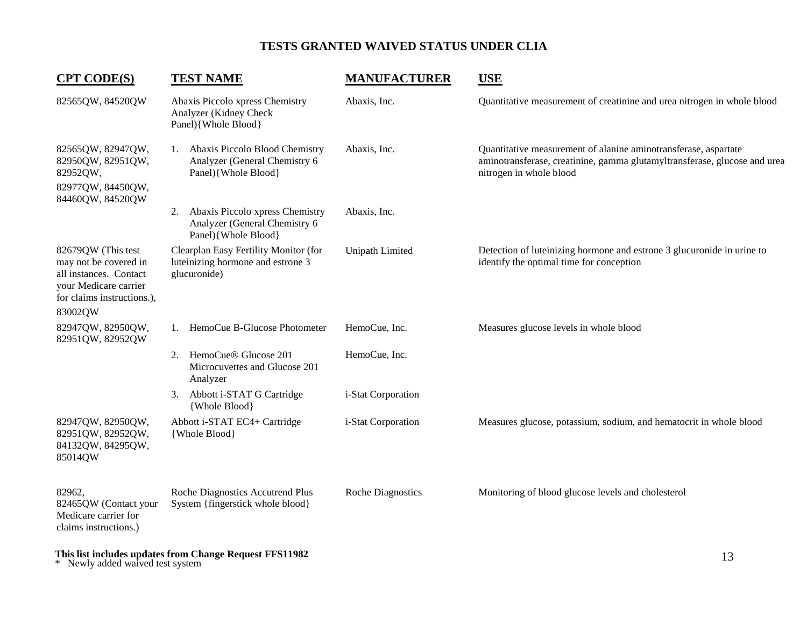| <b>CPT CODE(S)</b>                                                                                                                      | <b>TEST NAME</b>                                                                              | <b>MANUFACTURER</b>      | <b>USE</b>                                                                                                                                                              |
|-----------------------------------------------------------------------------------------------------------------------------------------|-----------------------------------------------------------------------------------------------|--------------------------|-------------------------------------------------------------------------------------------------------------------------------------------------------------------------|
| 82565QW, 84520QW                                                                                                                        | Abaxis Piccolo xpress Chemistry<br>Analyzer (Kidney Check<br>Panel){Whole Blood}              | Abaxis, Inc.             | Quantitative measurement of creatinine and urea nitrogen in whole blood                                                                                                 |
| 82565QW, 82947QW,<br>82950QW, 82951QW,<br>82952QW,<br>82977QW, 84450QW,<br>84460QW, 84520QW                                             | 1. Abaxis Piccolo Blood Chemistry<br>Analyzer (General Chemistry 6<br>Panel){Whole Blood}     | Abaxis, Inc.             | Quantitative measurement of alanine aminotransferase, aspartate<br>aminotransferase, creatinine, gamma glutamyltransferase, glucose and urea<br>nitrogen in whole blood |
|                                                                                                                                         | Abaxis Piccolo xpress Chemistry<br>2.<br>Analyzer (General Chemistry 6<br>Panel){Whole Blood} | Abaxis, Inc.             |                                                                                                                                                                         |
| 82679QW (This test<br>may not be covered in<br>all instances. Contact<br>your Medicare carrier<br>for claims instructions.),<br>83002QW | Clearplan Easy Fertility Monitor (for<br>luteinizing hormone and estrone 3<br>glucuronide)    | Unipath Limited          | Detection of luteinizing hormone and estrone 3 glucuronide in urine to<br>identify the optimal time for conception                                                      |
| 82947QW, 82950QW,<br>82951QW, 82952QW                                                                                                   | 1. HemoCue B-Glucose Photometer                                                               | HemoCue, Inc.            | Measures glucose levels in whole blood                                                                                                                                  |
|                                                                                                                                         | 2. HemoCue® Glucose 201<br>Microcuvettes and Glucose 201<br>Analyzer                          | HemoCue, Inc.            |                                                                                                                                                                         |
|                                                                                                                                         | Abbott i-STAT G Cartridge<br>3.<br>{Whole Blood}                                              | i-Stat Corporation       |                                                                                                                                                                         |
| 82947QW, 82950QW,<br>82951QW, 82952QW,<br>84132QW, 84295QW,<br>85014QW                                                                  | Abbott i-STAT EC4+ Cartridge<br>{Whole Blood}                                                 | i-Stat Corporation       | Measures glucose, potassium, sodium, and hematocrit in whole blood                                                                                                      |
| 82962,<br>82465QW (Contact your<br>Medicare carrier for<br>claims instructions.)                                                        | Roche Diagnostics Accutrend Plus<br>System {fingerstick whole blood}                          | <b>Roche Diagnostics</b> | Monitoring of blood glucose levels and cholesterol                                                                                                                      |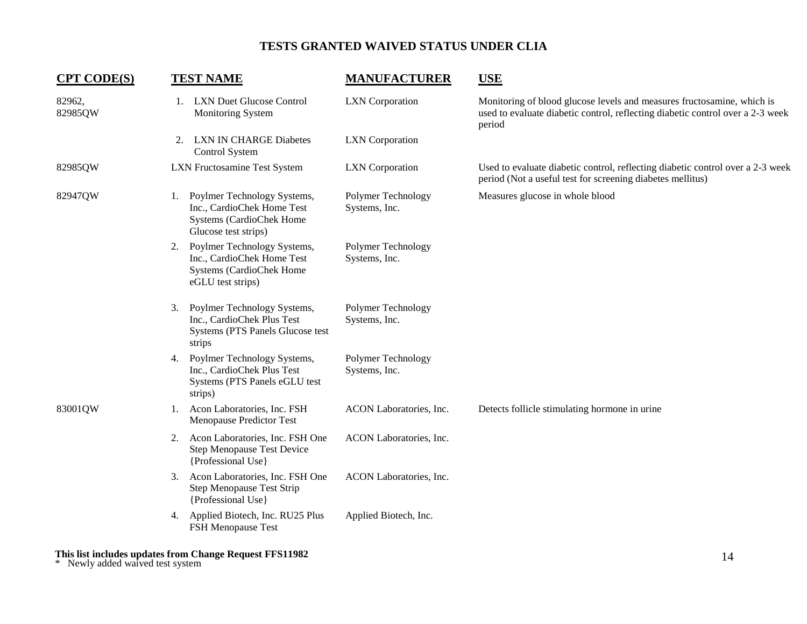| <b>CPT CODE(S)</b> | <b>TEST NAME</b>                                                                                                    | <b>MANUFACTURER</b>                 | <b>USE</b>                                                                                                                                                         |
|--------------------|---------------------------------------------------------------------------------------------------------------------|-------------------------------------|--------------------------------------------------------------------------------------------------------------------------------------------------------------------|
| 82962,<br>82985QW  | 1. LXN Duet Glucose Control<br>Monitoring System                                                                    | <b>LXN</b> Corporation              | Monitoring of blood glucose levels and measures fructosamine, which is<br>used to evaluate diabetic control, reflecting diabetic control over a 2-3 week<br>period |
|                    | <b>LXN IN CHARGE Diabetes</b><br>2.<br>Control System                                                               | <b>LXN</b> Corporation              |                                                                                                                                                                    |
| 82985QW            | <b>LXN Fructosamine Test System</b>                                                                                 | <b>LXN</b> Corporation              | Used to evaluate diabetic control, reflecting diabetic control over a 2-3 week<br>period (Not a useful test for screening diabetes mellitus)                       |
| 82947QW            | Poylmer Technology Systems,<br>1.<br>Inc., CardioChek Home Test<br>Systems (CardioChek Home<br>Glucose test strips) | Polymer Technology<br>Systems, Inc. | Measures glucose in whole blood                                                                                                                                    |
|                    | Poylmer Technology Systems,<br>2.<br>Inc., CardioChek Home Test<br>Systems (CardioChek Home<br>eGLU test strips)    | Polymer Technology<br>Systems, Inc. |                                                                                                                                                                    |
|                    | Poylmer Technology Systems,<br>3.<br>Inc., CardioChek Plus Test<br>Systems (PTS Panels Glucose test<br>strips       | Polymer Technology<br>Systems, Inc. |                                                                                                                                                                    |
|                    | Poylmer Technology Systems,<br>4.<br>Inc., CardioChek Plus Test<br>Systems (PTS Panels eGLU test<br>strips)         | Polymer Technology<br>Systems, Inc. |                                                                                                                                                                    |
| 83001QW            | Acon Laboratories, Inc. FSH<br>1.<br><b>Menopause Predictor Test</b>                                                | ACON Laboratories, Inc.             | Detects follicle stimulating hormone in urine                                                                                                                      |
|                    | Acon Laboratories, Inc. FSH One<br>2.<br>Step Menopause Test Device<br>{Professional Use}                           | ACON Laboratories, Inc.             |                                                                                                                                                                    |
|                    | Acon Laboratories, Inc. FSH One<br>3.<br><b>Step Menopause Test Strip</b><br>{Professional Use}                     | ACON Laboratories, Inc.             |                                                                                                                                                                    |
|                    | 4. Applied Biotech, Inc. RU25 Plus<br><b>FSH Menopause Test</b>                                                     | Applied Biotech, Inc.               |                                                                                                                                                                    |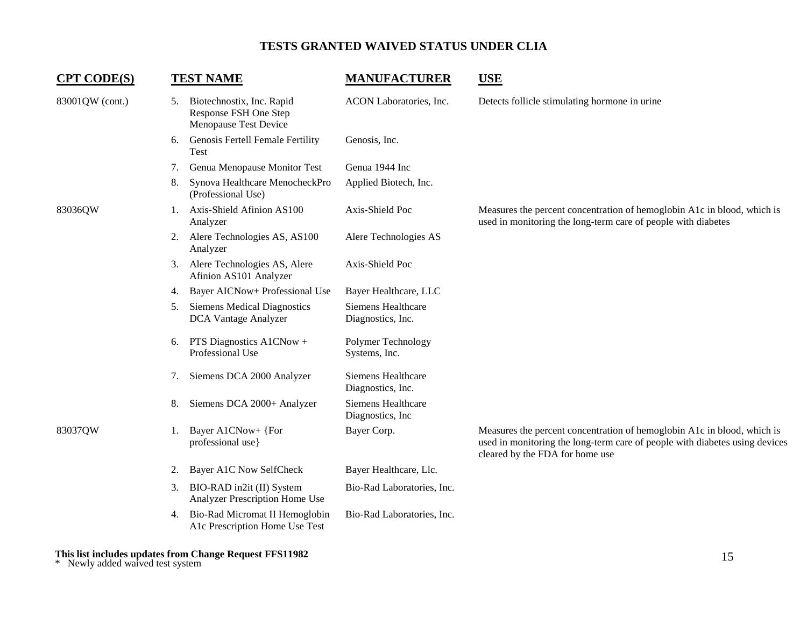| <b>CPT CODE(S)</b> |    | <b>TEST NAME</b>                                                            | <b>MANUFACTURER</b>                     | <b>USE</b>                                                                                                                                                                                |
|--------------------|----|-----------------------------------------------------------------------------|-----------------------------------------|-------------------------------------------------------------------------------------------------------------------------------------------------------------------------------------------|
| 83001QW (cont.)    | 5. | Biotechnostix, Inc. Rapid<br>Response FSH One Step<br>Menopause Test Device | ACON Laboratories, Inc.                 | Detects follicle stimulating hormone in urine                                                                                                                                             |
|                    | 6. | Genosis Fertell Female Fertility<br><b>Test</b>                             | Genosis, Inc.                           |                                                                                                                                                                                           |
|                    | 7. | Genua Menopause Monitor Test                                                | Genua 1944 Inc                          |                                                                                                                                                                                           |
|                    | 8. | Synova Healthcare MenocheckPro<br>(Professional Use)                        | Applied Biotech, Inc.                   |                                                                                                                                                                                           |
| 83036QW            |    | 1. Axis-Shield Afinion AS100<br>Analyzer                                    | Axis-Shield Poc                         | Measures the percent concentration of hemoglobin A1c in blood, which is<br>used in monitoring the long-term care of people with diabetes                                                  |
|                    | 2. | Alere Technologies AS, AS100<br>Analyzer                                    | Alere Technologies AS                   |                                                                                                                                                                                           |
|                    | 3. | Alere Technologies AS, Alere<br>Afinion AS101 Analyzer                      | Axis-Shield Poc                         |                                                                                                                                                                                           |
|                    | 4. | Bayer AICNow+ Professional Use                                              | Bayer Healthcare, LLC                   |                                                                                                                                                                                           |
|                    | 5. | <b>Siemens Medical Diagnostics</b><br>DCA Vantage Analyzer                  | Siemens Healthcare<br>Diagnostics, Inc. |                                                                                                                                                                                           |
|                    | 6. | PTS Diagnostics A1CNow +<br>Professional Use                                | Polymer Technology<br>Systems, Inc.     |                                                                                                                                                                                           |
|                    | 7. | Siemens DCA 2000 Analyzer                                                   | Siemens Healthcare<br>Diagnostics, Inc. |                                                                                                                                                                                           |
|                    | 8. | Siemens DCA 2000+ Analyzer                                                  | Siemens Healthcare<br>Diagnostics, Inc. |                                                                                                                                                                                           |
| 83037QW            | 1. | Bayer A1CNow+ {For<br>professional use}                                     | Bayer Corp.                             | Measures the percent concentration of hemoglobin A1c in blood, which is<br>used in monitoring the long-term care of people with diabetes using devices<br>cleared by the FDA for home use |
|                    | 2. | <b>Bayer A1C Now SelfCheck</b>                                              | Bayer Healthcare, Llc.                  |                                                                                                                                                                                           |
|                    | 3. | BIO-RAD in2it (II) System<br>Analyzer Prescription Home Use                 | Bio-Rad Laboratories, Inc.              |                                                                                                                                                                                           |
|                    | 4. | Bio-Rad Micromat II Hemoglobin<br>A1c Prescription Home Use Test            | Bio-Rad Laboratories, Inc.              |                                                                                                                                                                                           |
|                    |    |                                                                             |                                         |                                                                                                                                                                                           |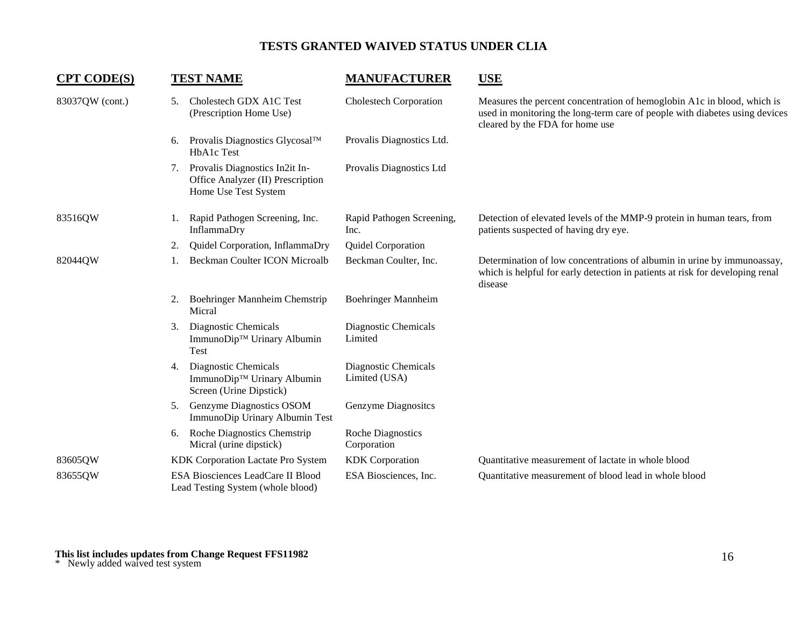| <b>CPT CODE(S)</b> |    | <b>TEST NAME</b>                                                                            | <b>MANUFACTURER</b>                     | <b>USE</b>                                                                                                                                                                                |
|--------------------|----|---------------------------------------------------------------------------------------------|-----------------------------------------|-------------------------------------------------------------------------------------------------------------------------------------------------------------------------------------------|
| 83037QW (cont.)    | 5. | Cholestech GDX A1C Test<br>(Prescription Home Use)                                          | <b>Cholestech Corporation</b>           | Measures the percent concentration of hemoglobin A1c in blood, which is<br>used in monitoring the long-term care of people with diabetes using devices<br>cleared by the FDA for home use |
|                    | 6. | Provalis Diagnostics Glycosal™<br>HbA1c Test                                                | Provalis Diagnostics Ltd.               |                                                                                                                                                                                           |
|                    | 7. | Provalis Diagnostics In2it In-<br>Office Analyzer (II) Prescription<br>Home Use Test System | Provalis Diagnostics Ltd                |                                                                                                                                                                                           |
| 83516QW            | 1. | Rapid Pathogen Screening, Inc.<br>InflammaDry                                               | Rapid Pathogen Screening,<br>Inc.       | Detection of elevated levels of the MMP-9 protein in human tears, from<br>patients suspected of having dry eye.                                                                           |
|                    | 2. | Quidel Corporation, InflammaDry                                                             | Quidel Corporation                      |                                                                                                                                                                                           |
| 82044QW            |    | <b>Beckman Coulter ICON Microalb</b>                                                        | Beckman Coulter, Inc.                   | Determination of low concentrations of albumin in urine by immunoassay,<br>which is helpful for early detection in patients at risk for developing renal<br>disease                       |
|                    | 2. | Boehringer Mannheim Chemstrip<br>Micral                                                     | Boehringer Mannheim                     |                                                                                                                                                                                           |
|                    | 3. | Diagnostic Chemicals<br>ImmunoDip™ Urinary Albumin<br>Test                                  | Diagnostic Chemicals<br>Limited         |                                                                                                                                                                                           |
|                    | 4. | Diagnostic Chemicals<br>ImmunoDip™ Urinary Albumin<br>Screen (Urine Dipstick)               | Diagnostic Chemicals<br>Limited (USA)   |                                                                                                                                                                                           |
|                    | 5. | Genzyme Diagnostics OSOM<br>ImmunoDip Urinary Albumin Test                                  | Genzyme Diagnosites                     |                                                                                                                                                                                           |
|                    |    | 6. Roche Diagnostics Chemstrip<br>Micral (urine dipstick)                                   | <b>Roche Diagnostics</b><br>Corporation |                                                                                                                                                                                           |
| 83605QW            |    | KDK Corporation Lactate Pro System                                                          | <b>KDK</b> Corporation                  | Quantitative measurement of lactate in whole blood                                                                                                                                        |
| 83655QW            |    | ESA Biosciences LeadCare II Blood<br>Lead Testing System (whole blood)                      | ESA Biosciences, Inc.                   | Quantitative measurement of blood lead in whole blood                                                                                                                                     |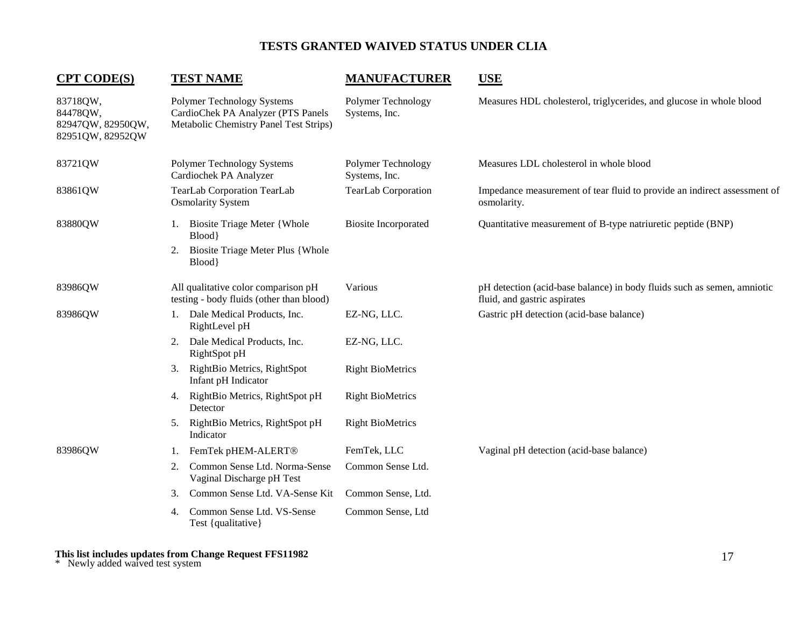## **CPT CODE(S) TEST NAME MANUFACTURER USE**

| 83718QW,<br>84478QW,<br>82947QW, 82950QW,<br>82951QW, 82952QW | Polymer Technology Systems<br>CardioChek PA Analyzer (PTS Panels<br>Metabolic Chemistry Panel Test Strips) | Polymer Technology<br>Systems, Inc. | Measures HDL cholesterol, triglycerides, and glucose in whole blood                                     |
|---------------------------------------------------------------|------------------------------------------------------------------------------------------------------------|-------------------------------------|---------------------------------------------------------------------------------------------------------|
| 83721QW                                                       | Polymer Technology Systems<br>Cardiochek PA Analyzer                                                       | Polymer Technology<br>Systems, Inc. | Measures LDL cholesterol in whole blood                                                                 |
| 83861QW                                                       | <b>TearLab Corporation TearLab</b><br><b>Osmolarity System</b>                                             | TearLab Corporation                 | Impedance measurement of tear fluid to provide an indirect assessment of<br>osmolarity.                 |
| 83880QW                                                       | <b>Biosite Triage Meter {Whole</b><br>Blood<br><b>Biosite Triage Meter Plus { Whole</b><br>2.<br>Blood}    | <b>Biosite Incorporated</b>         | Quantitative measurement of B-type natriuretic peptide (BNP)                                            |
| 83986QW                                                       | All qualitative color comparison pH<br>testing - body fluids (other than blood)                            | Various                             | pH detection (acid-base balance) in body fluids such as semen, amniotic<br>fluid, and gastric aspirates |
| 83986QW                                                       | 1. Dale Medical Products, Inc.<br>RightLevel pH                                                            | EZ-NG, LLC.                         | Gastric pH detection (acid-base balance)                                                                |
|                                                               | Dale Medical Products, Inc.<br>2.<br>RightSpot pH                                                          | EZ-NG, LLC.                         |                                                                                                         |
|                                                               | RightBio Metrics, RightSpot<br>3.<br>Infant pH Indicator                                                   | <b>Right BioMetrics</b>             |                                                                                                         |
|                                                               | 4. RightBio Metrics, RightSpot pH<br>Detector                                                              | <b>Right BioMetrics</b>             |                                                                                                         |
|                                                               | RightBio Metrics, RightSpot pH<br>Indicator                                                                | <b>Right BioMetrics</b>             |                                                                                                         |
| 83986QW                                                       | FemTek pHEM-ALERT <sup>®</sup><br>1.                                                                       | FemTek, LLC                         | Vaginal pH detection (acid-base balance)                                                                |
|                                                               | Common Sense Ltd. Norma-Sense<br>2.<br>Vaginal Discharge pH Test                                           | Common Sense Ltd.                   |                                                                                                         |
|                                                               | Common Sense Ltd. VA-Sense Kit<br>3.                                                                       | Common Sense, Ltd.                  |                                                                                                         |
|                                                               | Common Sense Ltd. VS-Sense<br>4.<br>Test {qualitative}                                                     | Common Sense, Ltd                   |                                                                                                         |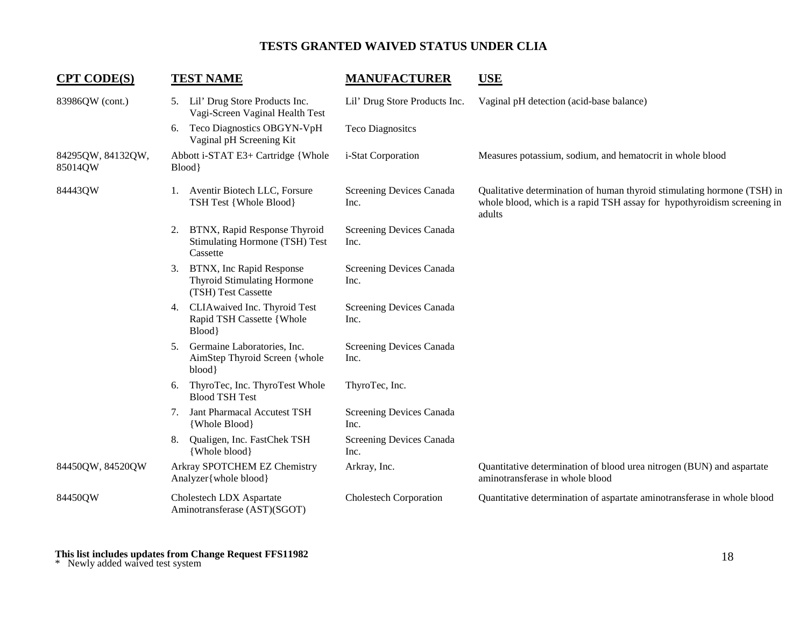| <b>CPT CODE(S)</b>           |    | <b>TEST NAME</b>                                                                      | <b>MANUFACTURER</b>              | <b>USE</b>                                                                                                                                                   |
|------------------------------|----|---------------------------------------------------------------------------------------|----------------------------------|--------------------------------------------------------------------------------------------------------------------------------------------------------------|
| 83986QW (cont.)              |    | 5. Lil' Drug Store Products Inc.<br>Vagi-Screen Vaginal Health Test                   | Lil' Drug Store Products Inc.    | Vaginal pH detection (acid-base balance)                                                                                                                     |
|                              | 6. | Teco Diagnostics OBGYN-VpH<br>Vaginal pH Screening Kit                                | <b>Teco Diagnositcs</b>          |                                                                                                                                                              |
| 84295QW, 84132QW,<br>85014QW |    | Abbott i-STAT E3+ Cartridge {Whole<br>Blood}                                          | i-Stat Corporation               | Measures potassium, sodium, and hematocrit in whole blood                                                                                                    |
| 84443QW                      |    | 1. Aventir Biotech LLC, Forsure<br>TSH Test {Whole Blood}                             | Screening Devices Canada<br>Inc. | Qualitative determination of human thyroid stimulating hormone (TSH) in<br>whole blood, which is a rapid TSH assay for hypothyroidism screening in<br>adults |
|                              | 2. | BTNX, Rapid Response Thyroid<br>Stimulating Hormone (TSH) Test<br>Cassette            | Screening Devices Canada<br>Inc. |                                                                                                                                                              |
|                              | 3. | BTNX, Inc Rapid Response<br><b>Thyroid Stimulating Hormone</b><br>(TSH) Test Cassette | Screening Devices Canada<br>Inc. |                                                                                                                                                              |
|                              | 4. | CLIAwaived Inc. Thyroid Test<br>Rapid TSH Cassette {Whole<br>Blood                    | Screening Devices Canada<br>Inc. |                                                                                                                                                              |
|                              | 5. | Germaine Laboratories, Inc.<br>AimStep Thyroid Screen { whole<br>blood}               | Screening Devices Canada<br>Inc. |                                                                                                                                                              |
|                              | 6. | ThyroTec, Inc. ThyroTest Whole<br><b>Blood TSH Test</b>                               | ThyroTec, Inc.                   |                                                                                                                                                              |
|                              | 7. | Jant Pharmacal Accutest TSH<br>{Whole Blood}                                          | Screening Devices Canada<br>Inc. |                                                                                                                                                              |
|                              | 8. | Qualigen, Inc. FastChek TSH<br>{Whole blood}                                          | Screening Devices Canada<br>Inc. |                                                                                                                                                              |
| 84450QW, 84520QW             |    | Arkray SPOTCHEM EZ Chemistry<br>Analyzer { whole blood }                              | Arkray, Inc.                     | Quantitative determination of blood urea nitrogen (BUN) and aspartate<br>aminotransferase in whole blood                                                     |
| 84450QW                      |    | Cholestech LDX Aspartate<br>Aminotransferase (AST)(SGOT)                              | <b>Cholestech Corporation</b>    | Quantitative determination of aspartate aminotransferase in whole blood                                                                                      |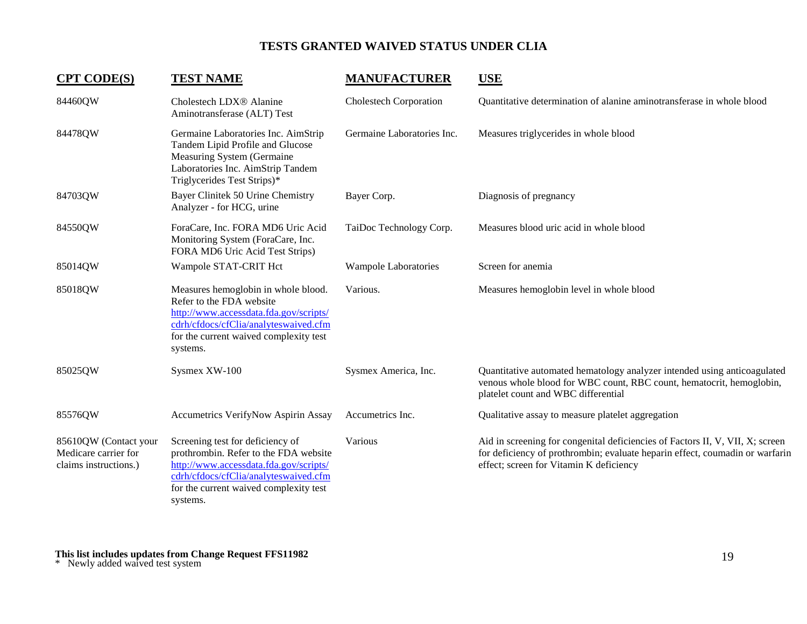| <b>CPT CODE(S)</b>                                                     | <b>TEST NAME</b>                                                                                                                                                                                                   | <b>MANUFACTURER</b>           | <b>USE</b>                                                                                                                                                                                               |
|------------------------------------------------------------------------|--------------------------------------------------------------------------------------------------------------------------------------------------------------------------------------------------------------------|-------------------------------|----------------------------------------------------------------------------------------------------------------------------------------------------------------------------------------------------------|
| 84460QW                                                                | Cholestech LDX <sup>®</sup> Alanine<br>Aminotransferase (ALT) Test                                                                                                                                                 | <b>Cholestech Corporation</b> | Quantitative determination of alanine aminotransferase in whole blood                                                                                                                                    |
| 84478QW                                                                | Germaine Laboratories Inc. AimStrip<br>Tandem Lipid Profile and Glucose<br>Measuring System (Germaine<br>Laboratories Inc. AimStrip Tandem<br>Triglycerides Test Strips)*                                          | Germaine Laboratories Inc.    | Measures triglycerides in whole blood                                                                                                                                                                    |
| 84703QW                                                                | Bayer Clinitek 50 Urine Chemistry<br>Analyzer - for HCG, urine                                                                                                                                                     | Bayer Corp.                   | Diagnosis of pregnancy                                                                                                                                                                                   |
| 84550QW                                                                | ForaCare, Inc. FORA MD6 Uric Acid<br>Monitoring System (ForaCare, Inc.<br>FORA MD6 Uric Acid Test Strips)                                                                                                          | TaiDoc Technology Corp.       | Measures blood uric acid in whole blood                                                                                                                                                                  |
| 85014QW                                                                | Wampole STAT-CRIT Hct                                                                                                                                                                                              | <b>Wampole Laboratories</b>   | Screen for anemia                                                                                                                                                                                        |
| 85018QW                                                                | Measures hemoglobin in whole blood.<br>Refer to the FDA website<br>http://www.accessdata.fda.gov/scripts/<br>cdrh/cfdocs/cfClia/analyteswaived.cfm<br>for the current waived complexity test<br>systems.           | Various.                      | Measures hemoglobin level in whole blood                                                                                                                                                                 |
| 85025QW                                                                | Sysmex XW-100                                                                                                                                                                                                      | Sysmex America, Inc.          | Quantitative automated hematology analyzer intended using anticoagulated<br>venous whole blood for WBC count, RBC count, hematocrit, hemoglobin,<br>platelet count and WBC differential                  |
| 85576QW                                                                | <b>Accumetrics VerifyNow Aspirin Assay</b>                                                                                                                                                                         | Accumetrics Inc.              | Qualitative assay to measure platelet aggregation                                                                                                                                                        |
| 85610QW (Contact your<br>Medicare carrier for<br>claims instructions.) | Screening test for deficiency of<br>prothrombin. Refer to the FDA website<br>http://www.accessdata.fda.gov/scripts/<br>cdrh/cfdocs/cfClia/analyteswaived.cfm<br>for the current waived complexity test<br>systems. | Various                       | Aid in screening for congenital deficiencies of Factors II, V, VII, X; screen<br>for deficiency of prothrombin; evaluate heparin effect, coumadin or warfarin<br>effect; screen for Vitamin K deficiency |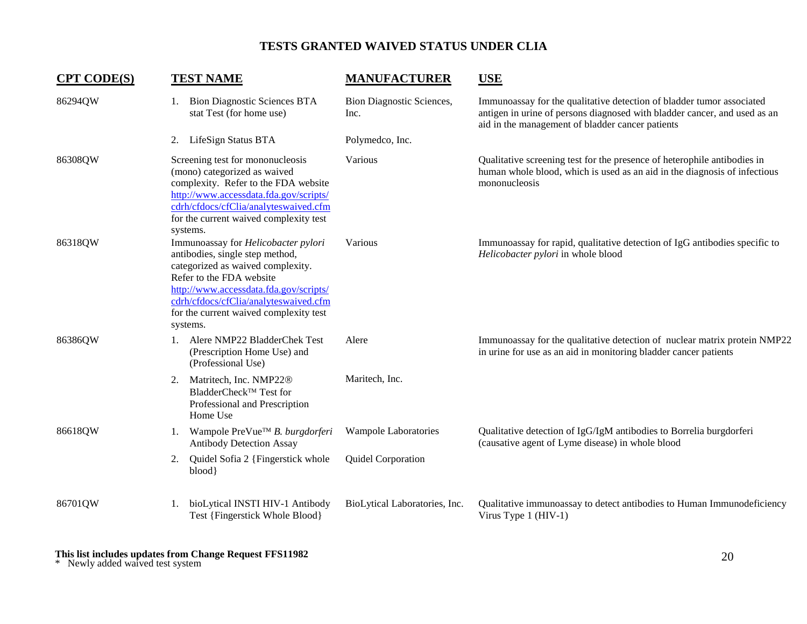| <b>CPT CODE(S)</b> | <b>TEST NAME</b>                                                                                                                                                                                                                                                                 | <b>MANUFACTURER</b>                      | <b>USE</b>                                                                                                                                                                                             |
|--------------------|----------------------------------------------------------------------------------------------------------------------------------------------------------------------------------------------------------------------------------------------------------------------------------|------------------------------------------|--------------------------------------------------------------------------------------------------------------------------------------------------------------------------------------------------------|
| 86294QW            | 1. Bion Diagnostic Sciences BTA<br>stat Test (for home use)                                                                                                                                                                                                                      | <b>Bion Diagnostic Sciences,</b><br>Inc. | Immunoassay for the qualitative detection of bladder tumor associated<br>antigen in urine of persons diagnosed with bladder cancer, and used as an<br>aid in the management of bladder cancer patients |
|                    | 2. LifeSign Status BTA                                                                                                                                                                                                                                                           | Polymedco, Inc.                          |                                                                                                                                                                                                        |
| 86308QW            | Screening test for mononucleosis<br>(mono) categorized as waived<br>complexity. Refer to the FDA website<br>http://www.accessdata.fda.gov/scripts/<br>cdrh/cfdocs/cfClia/analyteswaived.cfm<br>for the current waived complexity test<br>systems.                                | Various                                  | Qualitative screening test for the presence of heterophile antibodies in<br>human whole blood, which is used as an aid in the diagnosis of infectious<br>mononucleosis                                 |
| 86318QW            | Immunoassay for Helicobacter pylori<br>antibodies, single step method,<br>categorized as waived complexity.<br>Refer to the FDA website<br>http://www.accessdata.fda.gov/scripts/<br>cdrh/cfdocs/cfClia/analyteswaived.cfm<br>for the current waived complexity test<br>systems. | Various                                  | Immunoassay for rapid, qualitative detection of IgG antibodies specific to<br>Helicobacter pylori in whole blood                                                                                       |
| 86386QW            | 1. Alere NMP22 BladderChek Test<br>(Prescription Home Use) and<br>(Professional Use)                                                                                                                                                                                             | Alere                                    | Immunoassay for the qualitative detection of nuclear matrix protein NMP22<br>in urine for use as an aid in monitoring bladder cancer patients                                                          |
|                    | Matritech, Inc. NMP22 <sup>®</sup><br>2.<br>BladderCheck™ Test for<br>Professional and Prescription<br>Home Use                                                                                                                                                                  | Maritech, Inc.                           |                                                                                                                                                                                                        |
| 86618QW            | Wampole PreVue™ B. burgdorferi<br>1.<br><b>Antibody Detection Assay</b>                                                                                                                                                                                                          | Wampole Laboratories                     | Qualitative detection of IgG/IgM antibodies to Borrelia burgdorferi<br>(causative agent of Lyme disease) in whole blood                                                                                |
|                    | Quidel Sofia 2 {Fingerstick whole<br>2.<br>blood                                                                                                                                                                                                                                 | Quidel Corporation                       |                                                                                                                                                                                                        |
| 86701QW            | bioLytical INSTI HIV-1 Antibody<br>1.<br>Test {Fingerstick Whole Blood}                                                                                                                                                                                                          | BioLytical Laboratories, Inc.            | Qualitative immunoassay to detect antibodies to Human Immunodeficiency<br>Virus Type $1$ (HIV-1)                                                                                                       |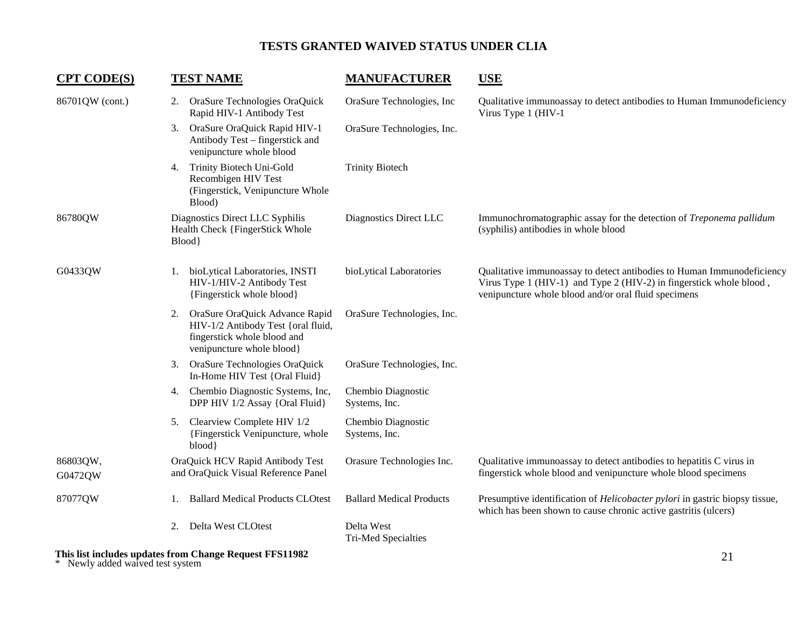| <b>CPT CODE(S)</b>  |                                                                             | <b>TEST NAME</b>                                                                                                                 | <b>MANUFACTURER</b>                      | <b>USE</b>                                                                                                                                                                                            |
|---------------------|-----------------------------------------------------------------------------|----------------------------------------------------------------------------------------------------------------------------------|------------------------------------------|-------------------------------------------------------------------------------------------------------------------------------------------------------------------------------------------------------|
| 86701QW (cont.)     | 2.                                                                          | OraSure Technologies OraQuick<br>Rapid HIV-1 Antibody Test                                                                       | OraSure Technologies, Inc                | Qualitative immunoassay to detect antibodies to Human Immunodeficiency<br>Virus Type 1 (HIV-1                                                                                                         |
|                     | 3.                                                                          | OraSure OraQuick Rapid HIV-1<br>Antibody Test - fingerstick and<br>venipuncture whole blood                                      | OraSure Technologies, Inc.               |                                                                                                                                                                                                       |
|                     | 4.                                                                          | Trinity Biotech Uni-Gold<br>Recombigen HIV Test<br>(Fingerstick, Venipuncture Whole<br>Blood)                                    | <b>Trinity Biotech</b>                   |                                                                                                                                                                                                       |
| 86780QW             | Diagnostics Direct LLC Syphilis<br>Health Check {FingerStick Whole<br>Blood |                                                                                                                                  | Diagnostics Direct LLC                   | Immunochromatographic assay for the detection of Treponema pallidum<br>(syphilis) antibodies in whole blood                                                                                           |
| G0433QW             | 1.                                                                          | bioLytical Laboratories, INSTI<br>HIV-1/HIV-2 Antibody Test<br>{Fingerstick whole blood}                                         | bioLytical Laboratories                  | Qualitative immunoassay to detect antibodies to Human Immunodeficiency<br>Virus Type 1 (HIV-1) and Type 2 (HIV-2) in fingerstick whole blood,<br>venipuncture whole blood and/or oral fluid specimens |
|                     | 2.                                                                          | OraSure OraQuick Advance Rapid<br>HIV-1/2 Antibody Test {oral fluid,<br>fingerstick whole blood and<br>venipuncture whole blood} | OraSure Technologies, Inc.               |                                                                                                                                                                                                       |
|                     | 3.                                                                          | OraSure Technologies OraQuick<br>In-Home HIV Test {Oral Fluid}                                                                   | OraSure Technologies, Inc.               |                                                                                                                                                                                                       |
|                     | 4.                                                                          | Chembio Diagnostic Systems, Inc,<br>DPP HIV 1/2 Assay {Oral Fluid}                                                               | Chembio Diagnostic<br>Systems, Inc.      |                                                                                                                                                                                                       |
|                     | 5.                                                                          | Clearview Complete HIV 1/2<br>{Fingerstick Venipuncture, whole<br>blood}                                                         | Chembio Diagnostic<br>Systems, Inc.      |                                                                                                                                                                                                       |
| 86803QW,<br>G0472QW |                                                                             | OraQuick HCV Rapid Antibody Test<br>and OraQuick Visual Reference Panel                                                          | Orasure Technologies Inc.                | Qualitative immunoassay to detect antibodies to hepatitis C virus in<br>fingerstick whole blood and venipuncture whole blood specimens                                                                |
| 87077QW             |                                                                             | <b>Ballard Medical Products CLOtest</b>                                                                                          | <b>Ballard Medical Products</b>          | Presumptive identification of <i>Helicobacter pylori</i> in gastric biopsy tissue,<br>which has been shown to cause chronic active gastritis (ulcers)                                                 |
|                     | 2.                                                                          | Delta West CLOtest                                                                                                               | Delta West<br><b>Tri-Med Specialties</b> |                                                                                                                                                                                                       |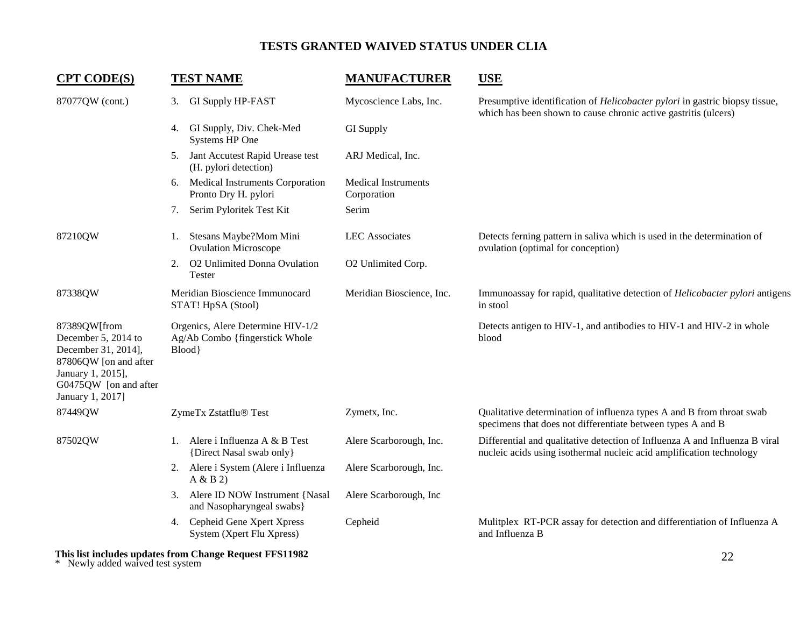| <b>CPT CODE(S)</b>                                                                                                                                    | <b>TEST NAME</b>                                                              | <b>MANUFACTURER</b>                       | <b>USE</b>                                                                                                                                            |  |
|-------------------------------------------------------------------------------------------------------------------------------------------------------|-------------------------------------------------------------------------------|-------------------------------------------|-------------------------------------------------------------------------------------------------------------------------------------------------------|--|
| 87077QW (cont.)                                                                                                                                       | <b>GI Supply HP-FAST</b><br>3.                                                | Mycoscience Labs, Inc.                    | Presumptive identification of <i>Helicobacter pylori</i> in gastric biopsy tissue,<br>which has been shown to cause chronic active gastritis (ulcers) |  |
|                                                                                                                                                       | GI Supply, Div. Chek-Med<br>4.<br>Systems HP One                              | GI Supply                                 |                                                                                                                                                       |  |
|                                                                                                                                                       | Jant Accutest Rapid Urease test<br>5.<br>(H. pylori detection)                | ARJ Medical, Inc.                         |                                                                                                                                                       |  |
|                                                                                                                                                       | Medical Instruments Corporation<br>6.<br>Pronto Dry H. pylori                 | <b>Medical Instruments</b><br>Corporation |                                                                                                                                                       |  |
|                                                                                                                                                       | Serim Pyloritek Test Kit<br>7.                                                | Serim                                     |                                                                                                                                                       |  |
| 87210QW                                                                                                                                               | Stesans Maybe?Mom Mini<br>1.<br><b>Ovulation Microscope</b>                   | <b>LEC</b> Associates                     | Detects ferning pattern in saliva which is used in the determination of<br>ovulation (optimal for conception)                                         |  |
|                                                                                                                                                       | O2 Unlimited Donna Ovulation<br>2.<br>Tester                                  | O2 Unlimited Corp.                        |                                                                                                                                                       |  |
| 87338QW                                                                                                                                               | Meridian Bioscience Immunocard<br>STAT! HpSA (Stool)                          | Meridian Bioscience, Inc.                 | Immunoassay for rapid, qualitative detection of <i>Helicobacter pylori</i> antigens<br>in stool                                                       |  |
| 87389QW[from<br>December 5, 2014 to<br>December 31, 2014],<br>87806QW [on and after<br>January 1, 2015],<br>G0475QW [on and after<br>January 1, 2017] | Orgenics, Alere Determine HIV-1/2<br>Ag/Ab Combo {fingerstick Whole<br>Blood} |                                           | Detects antigen to HIV-1, and antibodies to HIV-1 and HIV-2 in whole<br>blood                                                                         |  |
| 87449QW                                                                                                                                               | ZymeTx Zstatflu® Test                                                         | Zymetx, Inc.                              | Qualitative determination of influenza types A and B from throat swab<br>specimens that does not differentiate between types A and B                  |  |
| 87502QW                                                                                                                                               | 1. Alere i Influenza A & B Test<br>{Direct Nasal swab only}                   | Alere Scarborough, Inc.                   | Differential and qualitative detection of Influenza A and Influenza B viral<br>nucleic acids using isothermal nucleic acid amplification technology   |  |
|                                                                                                                                                       | 2. Alere i System (Alere i Influenza<br>A & B 2                               | Alere Scarborough, Inc.                   |                                                                                                                                                       |  |
|                                                                                                                                                       | Alere ID NOW Instrument {Nasal<br>3.<br>and Nasopharyngeal swabs}             | Alere Scarborough, Inc                    |                                                                                                                                                       |  |
|                                                                                                                                                       | Cepheid Gene Xpert Xpress<br>4.<br>System (Xpert Flu Xpress)                  | Cepheid                                   | Mulitplex RT-PCR assay for detection and differentiation of Influenza A<br>and Influenza B                                                            |  |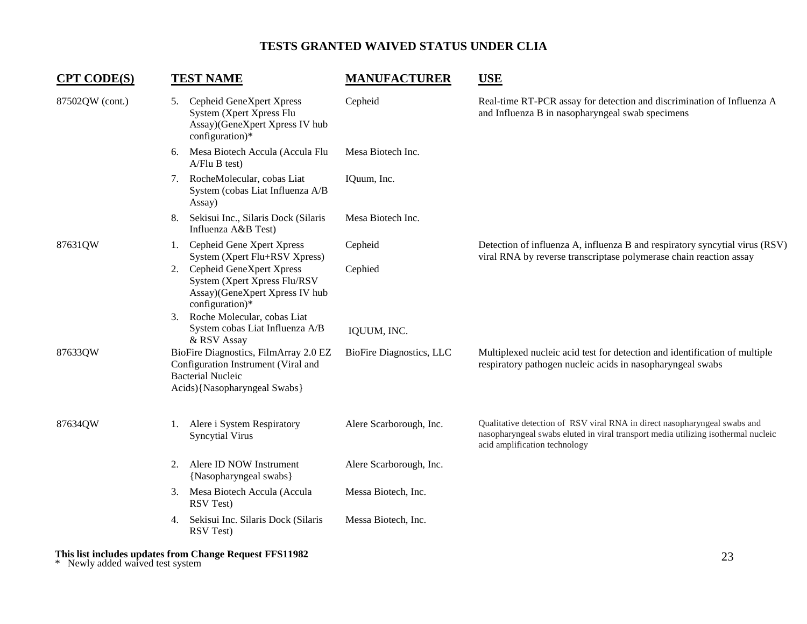| <b>CPT CODE(S)</b> |                                                                                                                                           | <b>TEST NAME</b>                                                                                                                             | <b>MANUFACTURER</b>             | <b>USE</b>                                                                                                                                                                                      |
|--------------------|-------------------------------------------------------------------------------------------------------------------------------------------|----------------------------------------------------------------------------------------------------------------------------------------------|---------------------------------|-------------------------------------------------------------------------------------------------------------------------------------------------------------------------------------------------|
| 87502QW (cont.)    | 5.                                                                                                                                        | Cepheid GeneXpert Xpress<br>System (Xpert Xpress Flu<br>Assay)(GeneXpert Xpress IV hub<br>configuration)*                                    | Cepheid                         | Real-time RT-PCR assay for detection and discrimination of Influenza A<br>and Influenza B in nasopharyngeal swab specimens                                                                      |
|                    | 6.                                                                                                                                        | Mesa Biotech Accula (Accula Flu<br>A/Flu B test)                                                                                             | Mesa Biotech Inc.               |                                                                                                                                                                                                 |
|                    | 7.                                                                                                                                        | RocheMolecular, cobas Liat<br>System (cobas Liat Influenza A/B<br>Assay)                                                                     | IQuum, Inc.                     |                                                                                                                                                                                                 |
|                    | 8.                                                                                                                                        | Sekisui Inc., Silaris Dock (Silaris<br>Influenza A&B Test)                                                                                   | Mesa Biotech Inc.               |                                                                                                                                                                                                 |
| 87631QW            | 1.                                                                                                                                        | Cepheid Gene Xpert Xpress<br>System (Xpert Flu+RSV Xpress)                                                                                   | Cepheid                         | Detection of influenza A, influenza B and respiratory syncytial virus (RSV)<br>viral RNA by reverse transcriptase polymerase chain reaction assay                                               |
|                    | 2.<br>3.                                                                                                                                  | Cepheid GeneXpert Xpress<br>System (Xpert Xpress Flu/RSV<br>Assay)(GeneXpert Xpress IV hub<br>configuration)*<br>Roche Molecular, cobas Liat | Cephied                         |                                                                                                                                                                                                 |
|                    |                                                                                                                                           | System cobas Liat Influenza A/B<br>& RSV Assay                                                                                               | IQUUM, INC.                     |                                                                                                                                                                                                 |
| 87633QW            | BioFire Diagnostics, FilmArray 2.0 EZ<br>Configuration Instrument (Viral and<br><b>Bacterial Nucleic</b><br>Acids) {Nasopharyngeal Swabs} |                                                                                                                                              | <b>BioFire Diagnostics, LLC</b> | Multiplexed nucleic acid test for detection and identification of multiple<br>respiratory pathogen nucleic acids in nasopharyngeal swabs                                                        |
| 87634QW            |                                                                                                                                           | 1. Alere i System Respiratory<br><b>Syncytial Virus</b>                                                                                      | Alere Scarborough, Inc.         | Qualitative detection of RSV viral RNA in direct nasopharyngeal swabs and<br>nasopharyngeal swabs eluted in viral transport media utilizing isothermal nucleic<br>acid amplification technology |
|                    | 2.                                                                                                                                        | Alere ID NOW Instrument<br>{Nasopharyngeal swabs}                                                                                            | Alere Scarborough, Inc.         |                                                                                                                                                                                                 |
|                    | 3.                                                                                                                                        | Mesa Biotech Accula (Accula<br>RSV Test)                                                                                                     | Messa Biotech, Inc.             |                                                                                                                                                                                                 |
|                    | 4.                                                                                                                                        | Sekisui Inc. Silaris Dock (Silaris<br>RSV Test)                                                                                              | Messa Biotech, Inc.             |                                                                                                                                                                                                 |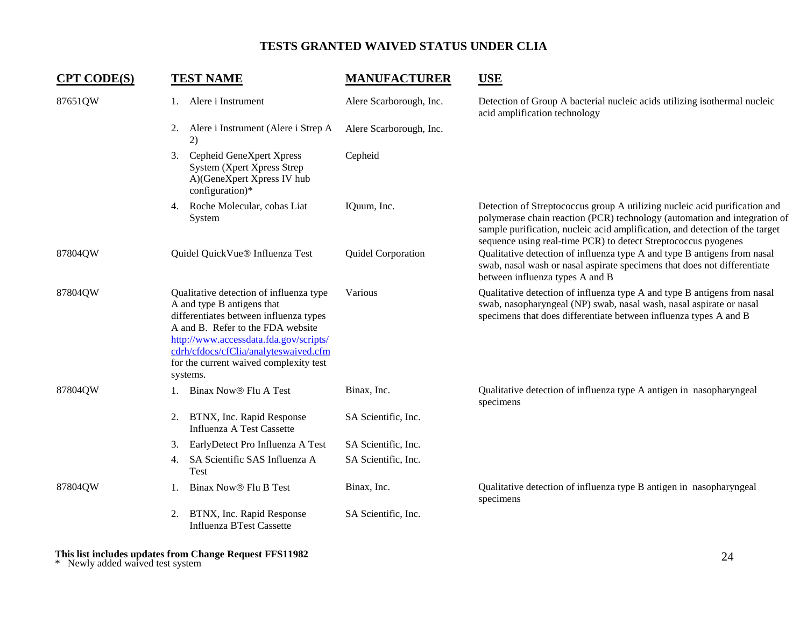| <b>CPT CODE(S)</b> | <b>TEST NAME</b>                                                                                                                                                                                                                                                                              | <b>MANUFACTURER</b>     | <b>USE</b>                                                                                                                                                                                                                                                                                                |
|--------------------|-----------------------------------------------------------------------------------------------------------------------------------------------------------------------------------------------------------------------------------------------------------------------------------------------|-------------------------|-----------------------------------------------------------------------------------------------------------------------------------------------------------------------------------------------------------------------------------------------------------------------------------------------------------|
| 87651QW            | 1. Alere i Instrument                                                                                                                                                                                                                                                                         | Alere Scarborough, Inc. | Detection of Group A bacterial nucleic acids utilizing isothermal nucleic<br>acid amplification technology                                                                                                                                                                                                |
|                    | 2. Alere i Instrument (Alere i Strep A<br>2)                                                                                                                                                                                                                                                  | Alere Scarborough, Inc. |                                                                                                                                                                                                                                                                                                           |
|                    | Cepheid GeneXpert Xpress<br>3.<br>System (Xpert Xpress Strep<br>A)(GeneXpert Xpress IV hub<br>configuration)*                                                                                                                                                                                 | Cepheid                 |                                                                                                                                                                                                                                                                                                           |
|                    | 4. Roche Molecular, cobas Liat<br>System                                                                                                                                                                                                                                                      | IQuum, Inc.             | Detection of Streptococcus group A utilizing nucleic acid purification and<br>polymerase chain reaction (PCR) technology (automation and integration of<br>sample purification, nucleic acid amplification, and detection of the target<br>sequence using real-time PCR) to detect Streptococcus pyogenes |
| 87804QW            | Quidel QuickVue® Influenza Test                                                                                                                                                                                                                                                               | Quidel Corporation      | Qualitative detection of influenza type A and type B antigens from nasal<br>swab, nasal wash or nasal aspirate specimens that does not differentiate<br>between influenza types A and B                                                                                                                   |
| 87804QW            | Qualitative detection of influenza type<br>A and type B antigens that<br>differentiates between influenza types<br>A and B. Refer to the FDA website<br>http://www.accessdata.fda.gov/scripts/<br>cdrh/cfdocs/cfClia/analyteswaived.cfm<br>for the current waived complexity test<br>systems. | Various                 | Qualitative detection of influenza type A and type B antigens from nasal<br>swab, nasopharyngeal (NP) swab, nasal wash, nasal aspirate or nasal<br>specimens that does differentiate between influenza types A and B                                                                                      |
| 87804QW            | Binax Now® Flu A Test<br>1.                                                                                                                                                                                                                                                                   | Binax, Inc.             | Qualitative detection of influenza type A antigen in nasopharyngeal<br>specimens                                                                                                                                                                                                                          |
|                    | 2. BTNX, Inc. Rapid Response<br><b>Influenza A Test Cassette</b>                                                                                                                                                                                                                              | SA Scientific, Inc.     |                                                                                                                                                                                                                                                                                                           |
|                    | EarlyDetect Pro Influenza A Test<br>3.                                                                                                                                                                                                                                                        | SA Scientific, Inc.     |                                                                                                                                                                                                                                                                                                           |
|                    | SA Scientific SAS Influenza A<br>4.<br><b>Test</b>                                                                                                                                                                                                                                            | SA Scientific, Inc.     |                                                                                                                                                                                                                                                                                                           |
| 87804QW            | Binax Now® Flu B Test                                                                                                                                                                                                                                                                         | Binax, Inc.             | Qualitative detection of influenza type B antigen in nasopharyngeal<br>specimens                                                                                                                                                                                                                          |
|                    | BTNX, Inc. Rapid Response<br>2.<br><b>Influenza BTest Cassette</b>                                                                                                                                                                                                                            | SA Scientific, Inc.     |                                                                                                                                                                                                                                                                                                           |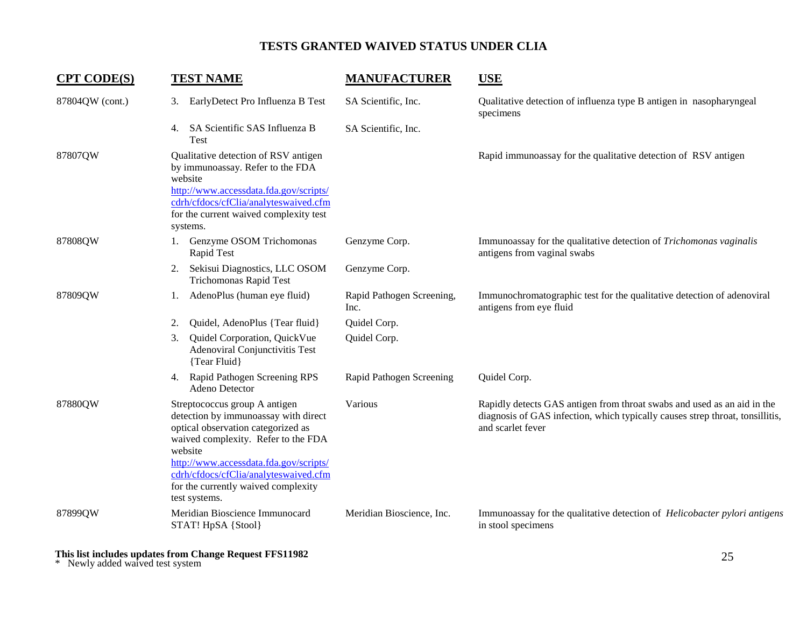| <b>CPT CODE(S)</b> | <b>TEST NAME</b>                                                                                                                                                                                                                                                                                         |                                                                                | <b>MANUFACTURER</b>               | <b>USE</b>                                                                                                                                                                    |
|--------------------|----------------------------------------------------------------------------------------------------------------------------------------------------------------------------------------------------------------------------------------------------------------------------------------------------------|--------------------------------------------------------------------------------|-----------------------------------|-------------------------------------------------------------------------------------------------------------------------------------------------------------------------------|
| 87804QW (cont.)    | 3.                                                                                                                                                                                                                                                                                                       | EarlyDetect Pro Influenza B Test                                               | SA Scientific, Inc.               | Qualitative detection of influenza type B antigen in nasopharyngeal<br>specimens                                                                                              |
|                    | <b>Test</b>                                                                                                                                                                                                                                                                                              | 4. SA Scientific SAS Influenza B                                               | SA Scientific, Inc.               |                                                                                                                                                                               |
| 87807QW            | Qualitative detection of RSV antigen<br>by immunoassay. Refer to the FDA<br>website<br>http://www.accessdata.fda.gov/scripts/<br>cdrh/cfdocs/cfClia/analyteswaived.cfm<br>for the current waived complexity test<br>systems.                                                                             |                                                                                |                                   | Rapid immunoassay for the qualitative detection of RSV antigen                                                                                                                |
| 87808QW            | 1.                                                                                                                                                                                                                                                                                                       | Genzyme OSOM Trichomonas<br>Rapid Test                                         | Genzyme Corp.                     | Immunoassay for the qualitative detection of Trichomonas vaginalis<br>antigens from vaginal swabs                                                                             |
|                    | 2.                                                                                                                                                                                                                                                                                                       | Sekisui Diagnostics, LLC OSOM<br>Trichomonas Rapid Test                        | Genzyme Corp.                     |                                                                                                                                                                               |
| 87809QW            | 1.                                                                                                                                                                                                                                                                                                       | AdenoPlus (human eye fluid)                                                    | Rapid Pathogen Screening,<br>Inc. | Immunochromatographic test for the qualitative detection of adenoviral<br>antigens from eye fluid                                                                             |
|                    | 2.                                                                                                                                                                                                                                                                                                       | Quidel, AdenoPlus {Tear fluid}                                                 | Quidel Corp.                      |                                                                                                                                                                               |
|                    | 3.                                                                                                                                                                                                                                                                                                       | Quidel Corporation, QuickVue<br>Adenoviral Conjunctivitis Test<br>{Tear Fluid} | Quidel Corp.                      |                                                                                                                                                                               |
|                    | 4.                                                                                                                                                                                                                                                                                                       | Rapid Pathogen Screening RPS<br>Adeno Detector                                 | Rapid Pathogen Screening          | Quidel Corp.                                                                                                                                                                  |
| 87880QW            | Streptococcus group A antigen<br>detection by immunoassay with direct<br>optical observation categorized as<br>waived complexity. Refer to the FDA<br>website<br>http://www.accessdata.fda.gov/scripts/<br>cdrh/cfdocs/cfClia/analyteswaived.cfm<br>for the currently waived complexity<br>test systems. |                                                                                | Various                           | Rapidly detects GAS antigen from throat swabs and used as an aid in the<br>diagnosis of GAS infection, which typically causes strep throat, tonsillitis,<br>and scarlet fever |
| 87899QW            |                                                                                                                                                                                                                                                                                                          | Meridian Bioscience Immunocard<br>STAT! HpSA {Stool}                           | Meridian Bioscience, Inc.         | Immunoassay for the qualitative detection of <i>Helicobacter pylori antigens</i><br>in stool specimens                                                                        |